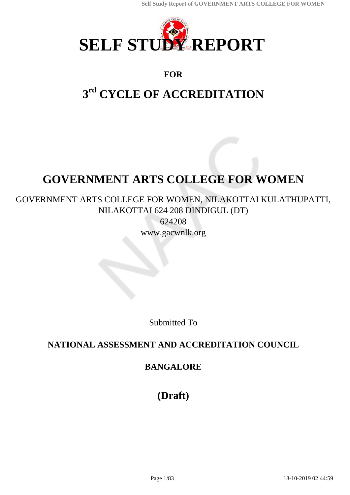

## **FOR**

# **3 rd CYCLE OF ACCREDITATION**

# **GOVERNMENT ARTS COLLEGE FOR WOMEN**

GOVERNMENT ARTS COLLEGE FOR WOMEN, NILAKOTTAI KULATHUPATTI, NILAKOTTAI 624 208 DINDIGUL (DT)

> 624208 www.gacwnlk.org

> > Submitted To

# **NATIONAL ASSESSMENT AND ACCREDITATION COUNCIL**

## **BANGALORE**

**(Draft)**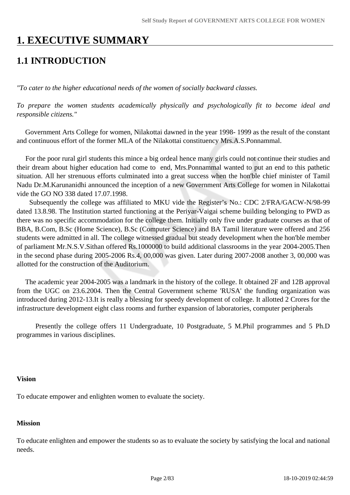# **1. EXECUTIVE SUMMARY**

# **1.1 INTRODUCTION**

*"To cater to the higher educational needs of the women of socially backward classes.*

*To prepare the women students academically physically and psychologically fit to become ideal and responsible citizens."*

 Government Arts College for women, Nilakottai dawned in the year 1998- 1999 as the result of the constant and continuous effort of the former MLA of the Nilakottai constituency Mrs.A.S.Ponnammal.

 For the poor rural girl students this mince a big ordeal hence many girls could not continue their studies and their dream about higher education had come to end, Mrs.Ponnammal wanted to put an end to this pathetic situation. All her strenuous efforts culminated into a great success when the hon'ble chief minister of Tamil Nadu Dr.M.Karunanidhi announced the inception of a new Government Arts College for women in Nilakottai vide the GO NO 338 dated 17.07.1998.

 Subsequently the college was affiliated to MKU vide the Register's No.: CDC 2/FRA/GACW-N/98-99 dated 13.8.98. The Institution started functioning at the Periyar-Vaigai scheme building belonging to PWD as there was no specific accommodation for the college them. Initially only five under graduate courses as that of BBA, B.Com, B.Sc (Home Science), B.Sc (Computer Science) and BA Tamil literature were offered and 256 students were admitted in all. The college witnessed gradual but steady development when the hon'ble member of parliament Mr.N.S.V.Sithan offered Rs.1000000 to build additional classrooms in the year 2004-2005.Then in the second phase during 2005-2006 Rs.4, 00,000 was given. Later during 2007-2008 another 3, 00,000 was allotted for the construction of the Auditorium.

 The academic year 2004-2005 was a landmark in the history of the college. It obtained 2F and 12B approval from the UGC on 23.6.2004. Then the Central Government scheme 'RUSA' the funding organization was introduced during 2012-13.It is really a blessing for speedy development of college. It allotted 2 Crores for the infrastructure development eight class rooms and further expansion of laboratories, computer peripherals

 Presently the college offers 11 Undergraduate, 10 Postgraduate, 5 M.Phil programmes and 5 Ph.D programmes in various disciplines.

#### **Vision**

To educate empower and enlighten women to evaluate the society.

## **Mission**

To educate enlighten and empower the students so as to evaluate the society by satisfying the local and national needs.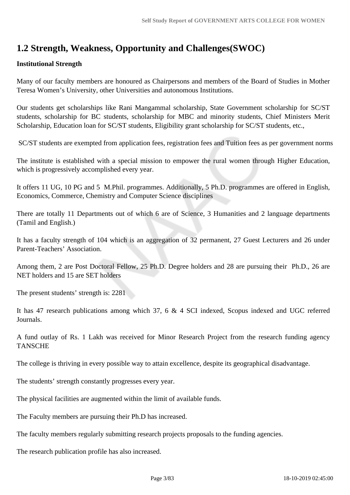# **1.2 Strength, Weakness, Opportunity and Challenges(SWOC)**

## **Institutional Strength**

Many of our faculty members are honoured as Chairpersons and members of the Board of Studies in Mother Teresa Women's University, other Universities and autonomous Institutions.

Our students get scholarships like Rani Mangammal scholarship, State Government scholarship for SC/ST students, scholarship for BC students, scholarship for MBC and minority students, Chief Ministers Merit Scholarship, Education loan for SC/ST students, Eligibility grant scholarship for SC/ST students, etc.,

SC/ST students are exempted from application fees, registration fees and Tuition fees as per government norms

The institute is established with a special mission to empower the rural women through Higher Education, which is progressively accomplished every year.

It offers 11 UG, 10 PG and 5 M.Phil. programmes. Additionally, 5 Ph.D. programmes are offered in English, Economics, Commerce, Chemistry and Computer Science disciplines

There are totally 11 Departments out of which 6 are of Science, 3 Humanities and 2 language departments (Tamil and English.)

It has a faculty strength of 104 which is an aggregation of 32 permanent, 27 Guest Lecturers and 26 under Parent-Teachers' Association.

Among them, 2 are Post Doctoral Fellow, 25 Ph.D. Degree holders and 28 are pursuing their Ph.D., 26 are NET holders and 15 are SET holders

The present students' strength is: 2281

It has 47 research publications among which 37, 6 & 4 SCI indexed, Scopus indexed and UGC referred Journals.

A fund outlay of Rs. 1 Lakh was received for Minor Research Project from the research funding agency **TANSCHE** 

The college is thriving in every possible way to attain excellence, despite its geographical disadvantage.

The students' strength constantly progresses every year.

The physical facilities are augmented within the limit of available funds.

The Faculty members are pursuing their Ph.D has increased.

The faculty members regularly submitting research projects proposals to the funding agencies.

The research publication profile has also increased.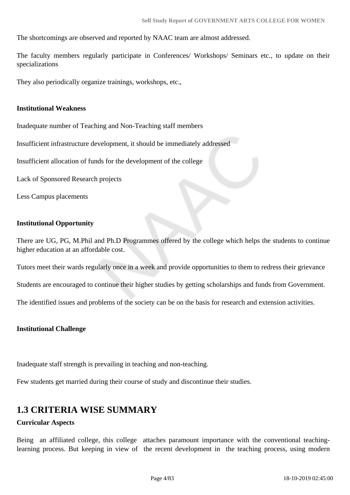The shortcomings are observed and reported by NAAC team are almost addressed.

The faculty members regularly participate in Conferences/ Workshops/ Seminars etc., to update on their specializations

They also periodically organize trainings, workshops, etc.,

#### **Institutional Weakness**

Inadequate number of Teaching and Non-Teaching staff members

Insufficient infrastructure development, it should be immediately addressed

Insufficient allocation of funds for the development of the college

Lack of Sponsored Research projects

Less Campus placements

## **Institutional Opportunity**

There are UG, PG, M.Phil and Ph.D Programmes offered by the college which helps the students to continue higher education at an affordable cost.

Tutors meet their wards regularly once in a week and provide opportunities to them to redress their grievance

Students are encouraged to continue their higher studies by getting scholarships and funds from Government.

The identified issues and problems of the society can be on the basis for research and extension activities.

#### **Institutional Challenge**

Inadequate staff strength is prevailing in teaching and non-teaching.

Few students get married during their course of study and discontinue their studies.

# **1.3 CRITERIA WISE SUMMARY**

## **Curricular Aspects**

Being an affiliated college, this college attaches paramount importance with the conventional teachinglearning process. But keeping in view of the recent development in the teaching process, using modern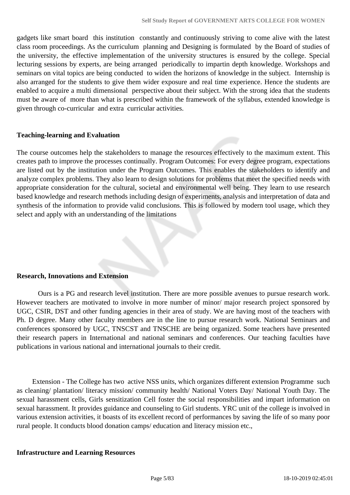gadgets like smart board this institution constantly and continuously striving to come alive with the latest class room proceedings. As the curriculum planning and Designing is formulated by the Board of studies of the university, the effective implementation of the university structures is ensured by the college. Special lecturing sessions by experts, are being arranged periodically to impartin depth knowledge. Workshops and seminars on vital topics are being conducted to widen the horizons of knowledge in the subject. Internship is also arranged for the students to give them wider exposure and real time experience. Hence the students are enabled to acquire a multi dimensional perspective about their subject. With the strong idea that the students must be aware of more than what is prescribed within the framework of the syllabus, extended knowledge is given through co-curricular and extra curricular activities.

## **Teaching-learning and Evaluation**

The course outcomes help the stakeholders to manage the resources effectively to the maximum extent. This creates path to improve the processes continually. Program Outcomes: For every degree program, expectations are listed out by the institution under the Program Outcomes. This enables the stakeholders to identify and analyze complex problems. They also learn to design solutions for problems that meet the specified needs with appropriate consideration for the cultural, societal and environmental well being. They learn to use research based knowledge and research methods including design of experiments, analysis and interpretation of data and synthesis of the information to provide valid conclusions. This is followed by modern tool usage, which they select and apply with an understanding of the limitations

#### **Research, Innovations and Extension**

 Ours is a PG and research level institution. There are more possible avenues to pursue research work. However teachers are motivated to involve in more number of minor/ major research project sponsored by UGC, CSIR, DST and other funding agencies in their area of study. We are having most of the teachers with Ph. D degree. Many other faculty members are in the line to pursue research work. National Seminars and conferences sponsored by UGC, TNSCST and TNSCHE are being organized. Some teachers have presented their research papers in International and national seminars and conferences. Our teaching faculties have publications in various national and international journals to their credit.

 Extension - The College has two active NSS units, which organizes different extension Programme such as cleaning/ plantation/ literacy mission/ community health/ National Voters Day/ National Youth Day. The sexual harassment cells, Girls sensitization Cell foster the social responsibilities and impart information on sexual harassment. It provides guidance and counseling to Girl students. YRC unit of the college is involved in various extension activities, it boasts of its excellent record of performances by saving the life of so many poor rural people. It conducts blood donation camps/ education and literacy mission etc.,

#### **Infrastructure and Learning Resources**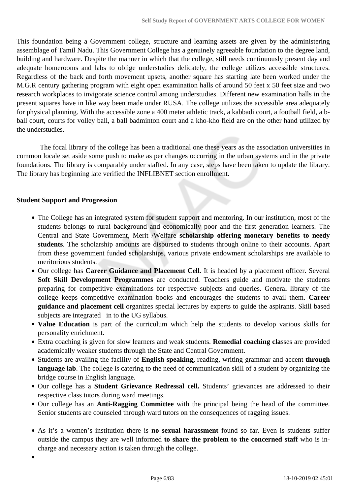This foundation being a Government college, structure and learning assets are given by the administering assemblage of Tamil Nadu. This Government College has a genuinely agreeable foundation to the degree land, building and hardware. Despite the manner in which that the college, still needs continuously present day and adequate homerooms and labs to oblige understudies delicately, the college utilizes accessible structures. Regardless of the back and forth movement upsets, another square has starting late been worked under the M.G.R century gathering program with eight open examination halls of around 50 feet x 50 feet size and two research workplaces to invigorate science control among understudies. Different new examination halls in the present squares have in like way been made under RUSA. The college utilizes the accessible area adequately for physical planning. With the accessible zone a 400 meter athletic track, a kabbadi court, a football field, a bball court, courts for volley ball, a ball badminton court and a kho-kho field are on the other hand utilized by the understudies.

 The focal library of the college has been a traditional one these years as the association universities in common locale set aside some push to make as per changes occurring in the urban systems and in the private foundations. The library is comparably under staffed. In any case, steps have been taken to update the library. The library has beginning late verified the INFLIBNET section enrollment.

#### **Student Support and Progression**

- The College has an integrated system for student support and mentoring. In our institution, most of the students belongs to rural background and economically poor and the first generation learners. The Central and State Government, Merit /Welfare **scholarship offering monetary benefits to needy students**. The scholarship amounts are disbursed to students through online to their accounts. Apart from these government funded scholarships, various private endowment scholarships are available to meritorious students.
- Our college has **Career Guidance and Placement Cell**. It is headed by a placement officer. Several **Soft Skill Development Programmes** are conducted. Teachers guide and motivate the students preparing for competitive examinations for respective subjects and queries. General library of the college keeps competitive examination books and encourages the students to avail them. **Career guidance and placement cell** organizes special lectures by experts to guide the aspirants. Skill based subjects are integrated in to the UG syllabus.
- **Value Education** is part of the curriculum which help the students to develop various skills for personality enrichment.
- Extra coaching is given for slow learners and weak students. **Remedial coaching cla**sses are provided academically weaker students through the State and Central Government.
- Students are availing the facility of **English speaking,** reading, writing grammar and accent **through** language lab. The college is catering to the need of communication skill of a student by organizing the bridge course in English language.
- Our college has a **Student Grievance Redressal cell.** Students' grievances are addressed to their respective class tutors during ward meetings.
- Our college has an **Anti-Ragging Committee** with the principal being the head of the committee. Senior students are counseled through ward tutors on the consequences of ragging issues.
- As it's a women's institution there is **no sexual harassment** found so far. Even is students suffer outside the campus they are well informed **to share the problem to the concerned staff** who is incharge and necessary action is taken through the college.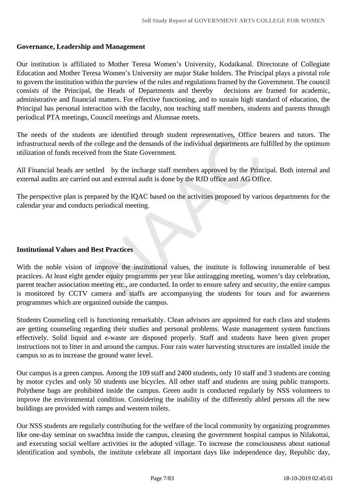#### **Governance, Leadership and Management**

Our institution is affiliated to Mother Teresa Women's University, Kodaikanal. Directorate of Collegiate Education and Mother Teresa Women's University are major Stake holders. The Principal plays a pivotal role to govern the institution within the purview of the rules and regulations framed by the Government. The council consists of the Principal, the Heads of Departments and thereby decisions are framed for academic, administrative and financial matters. For effective functioning, and to sustain high standard of education, the Principal has personal interaction with the faculty, non teaching staff members, students and parents through periodical PTA meetings, Council meetings and Alumnae meets.

The needs of the students are identified through student representatives, Office bearers and tutors. The infrastructural needs of the college and the demands of the individual departments are fulfilled by the optimum utilization of funds received from the State Government.

All Financial heads are settled by the incharge staff members approved by the Principal. Both internal and external audits are carried out and external audit is done by the RJD office and AG Office.

The perspective plan is prepared by the IQAC based on the activities proposed by various departments for the calendar year and conducts periodical meeting.

#### **Institutional Values and Best Practices**

With the noble vision of improve the institutional values, the institute is following innumerable of best practices. At least eight gender equity programms per year like antiragging meeting, women's day celebration, parent teacher association meeting etc., are conducted. In order to ensure safety and security, the entire campus is monitored by CCTV camera and staffs are accompanying the students for tours and for awareness programmes which are organized outside the campus.

Students Counseling cell is functioning remarkably. Clean advisors are appointed for each class and students are getting counseling regarding their studies and personal problems. Waste management system functions effectively. Solid liquid and e-waste are disposed properly. Staff and students have been given proper instructions not to litter in and around the campus. Four rain water harvesting structures are installed inside the campus so as to increase the ground water level.

Our campus is a green campus. Among the 109 staff and 2400 students, only 10 staff and 3 students are coming by motor cycles and only 50 students use bicycles. All other staff and students are using public transports. Polythene bags are prohibited inside the campus. Green audit is conducted regularly by NSS volunteers to improve the environmental condition. Considering the inability of the differently abled persons all the new buildings are provided with ramps and western toilets.

Our NSS students are regularly contributing for the welfare of the local community by organizing programmes like one-day seminar on swachhta inside the campus, cleaning the government hospital campus in Nilakottai, and executing social welfare activities in the adopted village. To increase the consciousness about national identification and symbols, the institute celebrate all important days like independence day, Republic day,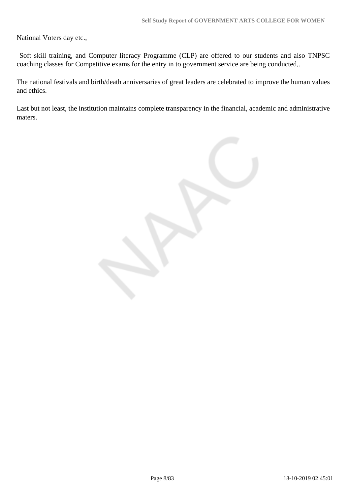National Voters day etc.,

 Soft skill training, and Computer literacy Programme (CLP) are offered to our students and also TNPSC coaching classes for Competitive exams for the entry in to government service are being conducted,.

The national festivals and birth/death anniversaries of great leaders are celebrated to improve the human values and ethics.

Last but not least, the institution maintains complete transparency in the financial, academic and administrative maters.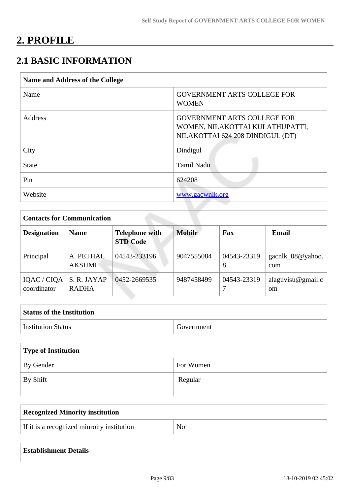# **2. PROFILE**

# **2.1 BASIC INFORMATION**

| <b>Name and Address of the College</b> |                                                                                                           |  |
|----------------------------------------|-----------------------------------------------------------------------------------------------------------|--|
| Name                                   | <b>GOVERNMENT ARTS COLLEGE FOR</b><br><b>WOMEN</b>                                                        |  |
| <b>Address</b>                         | <b>GOVERNMENT ARTS COLLEGE FOR</b><br>WOMEN, NILAKOTTAI KULATHUPATTI,<br>NILAKOTTAI 624 208 DINDIGUL (DT) |  |
| City                                   | Dindigul                                                                                                  |  |
| <b>State</b>                           | <b>Tamil Nadu</b>                                                                                         |  |
| Pin                                    | 624208                                                                                                    |  |
| Website                                | www.gacwnlk.org                                                                                           |  |

| <b>Contacts for Communication</b> |                             |                                          |               |                  |                                    |
|-----------------------------------|-----------------------------|------------------------------------------|---------------|------------------|------------------------------------|
| <b>Designation</b>                | <b>Name</b>                 | <b>Telephone with</b><br><b>STD Code</b> | <b>Mobile</b> | Fax              | Email                              |
| Principal                         | A. PETHAL<br><b>AKSHMI</b>  | 04543-233196                             | 9047555084    | 04543-23319<br>8 | gacnlk_08 $@$ yahoo.<br>com        |
| IQAC / CIQA<br>coordinator        | S. R. JAYAP<br><b>RADHA</b> | 0452-2669535                             | 9487458499    | 04543-23319      | alaguvisu@gmail.c<br><sub>om</sub> |

| <b>Status of the Institution</b> |            |
|----------------------------------|------------|
| <b>Institution Status</b>        | Government |

| Type of Institution |           |
|---------------------|-----------|
| By Gender           | For Women |
| By Shift            | Regular   |

| Recognized Minority institution            |                |
|--------------------------------------------|----------------|
| If it is a recognized minroity institution | N <sub>o</sub> |

| <b>Establishment Details</b> |  |
|------------------------------|--|
|------------------------------|--|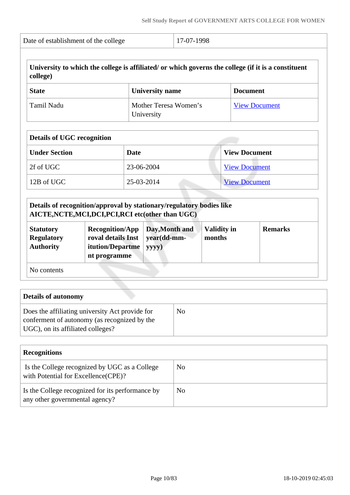| Date of establishment of the college | $17-07-1998$ |
|--------------------------------------|--------------|
|                                      |              |

| college) | University to which the college is affiliated/ or which governs the college (if it is a constituent |  |
|----------|-----------------------------------------------------------------------------------------------------|--|
|          |                                                                                                     |  |

| <b>State</b> | <b>University name</b>              | <b>Document</b>      |
|--------------|-------------------------------------|----------------------|
| Tamil Nadu   | Mother Teresa Women's<br>University | <b>View Document</b> |

| <b>Details of UGC recognition</b> |            |                      |
|-----------------------------------|------------|----------------------|
| <b>Under Section</b>              | Date       | <b>View Document</b> |
| 2f of UGC                         | 23-06-2004 | <b>View Document</b> |
| 12B of UGC                        | 25-03-2014 | <b>View Document</b> |

|                                                           | Details of recognition/approval by stationary/regulatory bodies like<br>AICTE, NCTE, MCI, DCI, PCI, RCI etc(other than UGC) |                                        |                              |                |
|-----------------------------------------------------------|-----------------------------------------------------------------------------------------------------------------------------|----------------------------------------|------------------------------|----------------|
| <b>Statutory</b><br><b>Regulatory</b><br><b>Authority</b> | <b>Recognition/App</b><br>roval details Inst<br>itution/Departme<br>nt programme                                            | Day, Month and<br>year(dd-mm-<br>yyyy) | <b>Validity in</b><br>months | <b>Remarks</b> |
| No contents                                               |                                                                                                                             |                                        |                              |                |

| <b>Details of autonomy</b>                                                                                                           |    |
|--------------------------------------------------------------------------------------------------------------------------------------|----|
| Does the affiliating university Act provide for<br>conferment of autonomy (as recognized by the<br>UGC), on its affiliated colleges? | No |

| <b>Recognitions</b>                                                                   |    |
|---------------------------------------------------------------------------------------|----|
| Is the College recognized by UGC as a College<br>with Potential for Excellence (CPE)? | No |
| Is the College recognized for its performance by<br>any other governmental agency?    | No |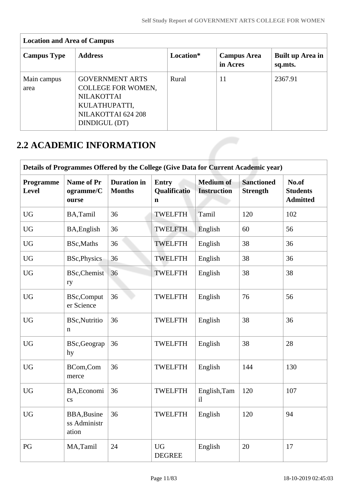| <b>Campus Type</b>  | <b>Address</b>                                                                                                                   | Location* | <b>Campus Area</b><br>in Acres | <b>Built up Area in</b><br>sq.mts. |
|---------------------|----------------------------------------------------------------------------------------------------------------------------------|-----------|--------------------------------|------------------------------------|
| Main campus<br>area | <b>GOVERNMENT ARTS</b><br><b>COLLEGE FOR WOMEN,</b><br><b>NILAKOTTAI</b><br>KULATHUPATTI,<br>NILAKOTTAI 624 208<br>DINDIGUL (DT) | Rural     | 11                             | 2367.91                            |

# **2.2 ACADEMIC INFORMATION**

|                           | Details of Programmes Offered by the College (Give Data for Current Academic year) |                                     |                                             |                                        |                                      |                                             |
|---------------------------|------------------------------------------------------------------------------------|-------------------------------------|---------------------------------------------|----------------------------------------|--------------------------------------|---------------------------------------------|
| Programme<br><b>Level</b> | <b>Name of Pr</b><br>ogramme/C<br>ourse                                            | <b>Duration</b> in<br><b>Months</b> | <b>Entry</b><br>Qualificatio<br>$\mathbf n$ | <b>Medium</b> of<br><b>Instruction</b> | <b>Sanctioned</b><br><b>Strength</b> | No.of<br><b>Students</b><br><b>Admitted</b> |
| <b>UG</b>                 | BA,Tamil                                                                           | 36                                  | <b>TWELFTH</b>                              | Tamil                                  | 120                                  | 102                                         |
| <b>UG</b>                 | BA, English                                                                        | 36                                  | <b>TWELFTH</b>                              | English                                | 60                                   | 56                                          |
| <b>UG</b>                 | BSc, Maths                                                                         | 36                                  | <b>TWELFTH</b>                              | English                                | 38                                   | 36                                          |
| <b>UG</b>                 | <b>BSc, Physics</b>                                                                | 36                                  | TWELFTH                                     | English                                | 38                                   | 36                                          |
| <b>UG</b>                 | <b>BSc,Chemist</b><br>ry                                                           | 36                                  | TWELFTH                                     | English                                | 38                                   | 38                                          |
| <b>UG</b>                 | <b>BSc,Comput</b><br>er Science                                                    | 36                                  | <b>TWELFTH</b>                              | English                                | 76                                   | 56                                          |
| <b>UG</b>                 | <b>BSc, Nutritio</b><br>n                                                          | 36                                  | <b>TWELFTH</b>                              | English                                | 38                                   | 36                                          |
| <b>UG</b>                 | BSc, Geograp<br>hy                                                                 | 36                                  | <b>TWELFTH</b>                              | English                                | 38                                   | 28                                          |
| <b>UG</b>                 | BCom,Com<br>merce                                                                  | 36                                  | <b>TWELFTH</b>                              | English                                | 144                                  | 130                                         |
| <b>UG</b>                 | BA, Economi<br>$\mathbf{c}\mathbf{s}$                                              | 36                                  | <b>TWELFTH</b>                              | English, Tam<br>il                     | 120                                  | 107                                         |
| <b>UG</b>                 | <b>BBA, Busine</b><br>ss Administr<br>ation                                        | 36                                  | <b>TWELFTH</b>                              | English                                | 120                                  | 94                                          |
| PG                        | MA,Tamil                                                                           | 24                                  | <b>UG</b><br><b>DEGREE</b>                  | English                                | 20                                   | 17                                          |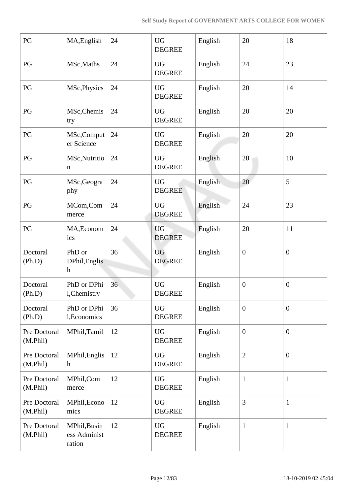| PG                       | MA, English                                          | 24 | <b>UG</b><br><b>DEGREE</b> | English | 20               | 18               |
|--------------------------|------------------------------------------------------|----|----------------------------|---------|------------------|------------------|
| PG                       | MSc, Maths                                           | 24 | <b>UG</b><br><b>DEGREE</b> | English | 24               | 23               |
| PG                       | MSc, Physics                                         | 24 | <b>UG</b><br><b>DEGREE</b> | English | 20               | 14               |
| $\mathbf{P}\mathbf{G}$   | MSc, Chemis<br>try                                   | 24 | <b>UG</b><br><b>DEGREE</b> | English | 20               | 20               |
| PG                       | MSc,Comput<br>er Science                             | 24 | <b>UG</b><br><b>DEGREE</b> | English | 20               | 20               |
| PG                       | MSc, Nutritio<br>$\mathbf n$                         | 24 | <b>UG</b><br><b>DEGREE</b> | English | 20               | 10               |
| PG                       | MSc, Geogra<br>phy                                   | 24 | <b>UG</b><br><b>DEGREE</b> | English | 20               | 5                |
| PG                       | MCom,Com<br>merce                                    | 24 | <b>UG</b><br><b>DEGREE</b> | English | 24               | 23               |
| PG                       | MA, Econom<br>ics                                    | 24 | <b>UG</b><br><b>DEGREE</b> | English | 20               | 11               |
| Doctoral<br>(Ph.D)       | PhD or<br>DPhil, Englis<br>$\boldsymbol{\mathrm{h}}$ | 36 | <b>UG</b><br><b>DEGREE</b> | English | $\overline{0}$   | $\mathbf{0}$     |
| Doctoral<br>(Ph.D)       | PhD or DPhi<br>l, Chemistry                          | 36 | <b>UG</b><br><b>DEGREE</b> | English | $\boldsymbol{0}$ | $\boldsymbol{0}$ |
| Doctoral<br>(Ph.D)       | PhD or DPhi<br>1, Economics                          | 36 | <b>UG</b><br><b>DEGREE</b> | English | $\overline{0}$   | $\boldsymbol{0}$ |
| Pre Doctoral<br>(M.Phil) | MPhil, Tamil                                         | 12 | <b>UG</b><br><b>DEGREE</b> | English | $\boldsymbol{0}$ | $\mathbf{0}$     |
| Pre Doctoral<br>(M.Phil) | MPhil, Englis<br>$\mathbf h$                         | 12 | <b>UG</b><br><b>DEGREE</b> | English | $\overline{2}$   | $\overline{0}$   |
| Pre Doctoral<br>(M.Phil) | MPhil,Com<br>merce                                   | 12 | <b>UG</b><br><b>DEGREE</b> | English | $\mathbf{1}$     | $\mathbf{1}$     |
| Pre Doctoral<br>(M.Phil) | MPhil, Econo<br>mics                                 | 12 | <b>UG</b><br><b>DEGREE</b> | English | 3                | $\mathbf{1}$     |
| Pre Doctoral<br>(M.Phil) | MPhil, Busin<br>ess Administ<br>ration               | 12 | <b>UG</b><br><b>DEGREE</b> | English | $\mathbf{1}$     | $\mathbf{1}$     |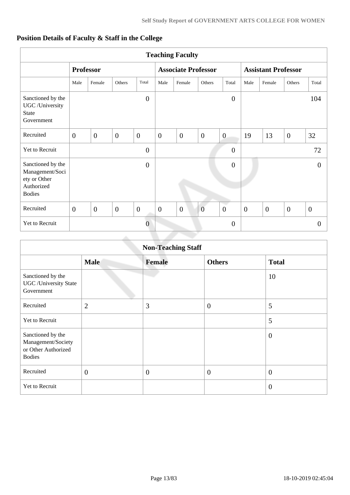## **Position Details of Faculty & Staff in the College**

| <b>Teaching Faculty</b>                                                             |                |                  |                |                  |                |                            |                |                |                            |                |                |                  |
|-------------------------------------------------------------------------------------|----------------|------------------|----------------|------------------|----------------|----------------------------|----------------|----------------|----------------------------|----------------|----------------|------------------|
|                                                                                     |                | <b>Professor</b> |                |                  |                | <b>Associate Professor</b> |                |                | <b>Assistant Professor</b> |                |                |                  |
|                                                                                     | Male           | Female           | Others         | Total            | Male           | Female                     | Others         | Total          | Male                       | Female         | Others         | Total            |
| Sanctioned by the<br>UGC /University<br><b>State</b><br>Government                  |                |                  |                | $\overline{0}$   |                |                            |                | $\overline{0}$ |                            |                |                | 104              |
| Recruited                                                                           | $\overline{0}$ | $\overline{0}$   | $\mathbf{0}$   | $\overline{0}$   | $\overline{0}$ | $\overline{0}$             | $\overline{0}$ | $\overline{0}$ | 19                         | 13             | $\overline{0}$ | 32               |
| Yet to Recruit                                                                      |                |                  |                | $\overline{0}$   |                |                            |                | $\overline{0}$ |                            |                |                | 72               |
| Sanctioned by the<br>Management/Soci<br>ety or Other<br>Authorized<br><b>Bodies</b> |                |                  |                | $\boldsymbol{0}$ |                |                            |                | $\overline{0}$ |                            |                |                | $\overline{0}$   |
| Recruited                                                                           | $\overline{0}$ | $\overline{0}$   | $\overline{0}$ | $\boldsymbol{0}$ | $\overline{0}$ | $\overline{0}$             | $\overline{0}$ | $\overline{0}$ | $\boldsymbol{0}$           | $\overline{0}$ | $\overline{0}$ | $\boldsymbol{0}$ |
| Yet to Recruit                                                                      |                |                  |                | $\overline{0}$   |                |                            |                | $\overline{0}$ |                            |                |                | $\overline{0}$   |
|                                                                                     |                |                  |                |                  |                |                            |                |                |                            |                |                |                  |

|                                                                                 | <b>Non-Teaching Staff</b> |                |                  |                  |  |  |  |  |  |
|---------------------------------------------------------------------------------|---------------------------|----------------|------------------|------------------|--|--|--|--|--|
|                                                                                 | <b>Male</b>               | <b>Female</b>  | <b>Others</b>    | <b>Total</b>     |  |  |  |  |  |
| Sanctioned by the<br><b>UGC</b> / University State<br>Government                |                           |                |                  | 10               |  |  |  |  |  |
| Recruited                                                                       | $\overline{2}$            | 3              | $\boldsymbol{0}$ | 5                |  |  |  |  |  |
| Yet to Recruit                                                                  |                           |                |                  | 5                |  |  |  |  |  |
| Sanctioned by the<br>Management/Society<br>or Other Authorized<br><b>Bodies</b> |                           |                |                  | $\theta$         |  |  |  |  |  |
| Recruited                                                                       | $\overline{0}$            | $\overline{0}$ | $\theta$         | $\overline{0}$   |  |  |  |  |  |
| Yet to Recruit                                                                  |                           |                |                  | $\boldsymbol{0}$ |  |  |  |  |  |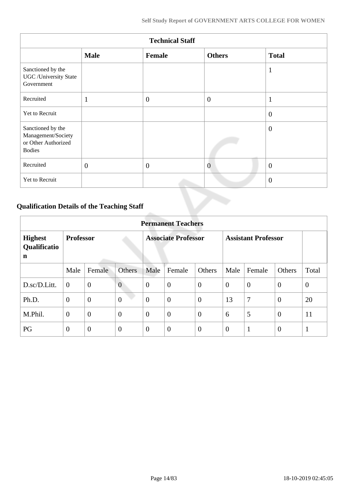| <b>Technical Staff</b>                                                          |              |                |                |                |  |  |  |  |  |
|---------------------------------------------------------------------------------|--------------|----------------|----------------|----------------|--|--|--|--|--|
|                                                                                 | <b>Male</b>  | <b>Female</b>  | <b>Others</b>  | <b>Total</b>   |  |  |  |  |  |
| Sanctioned by the<br><b>UGC</b> / University State<br>Government                |              |                |                | $\mathbf{1}$   |  |  |  |  |  |
| Recruited                                                                       | 1            | $\overline{0}$ | $\overline{0}$ | $\mathbf{1}$   |  |  |  |  |  |
| Yet to Recruit                                                                  |              |                |                | $\theta$       |  |  |  |  |  |
| Sanctioned by the<br>Management/Society<br>or Other Authorized<br><b>Bodies</b> |              |                |                | $\overline{0}$ |  |  |  |  |  |
| Recruited                                                                       | $\mathbf{0}$ | $\overline{0}$ | $\overline{0}$ | $\overline{0}$ |  |  |  |  |  |
| Yet to Recruit                                                                  |              |                |                | $\theta$       |  |  |  |  |  |

# **Qualification Details of the Teaching Staff**

|                                     | <b>Permanent Teachers</b> |                |                |                |                            |                |                |                            |                |                |  |  |
|-------------------------------------|---------------------------|----------------|----------------|----------------|----------------------------|----------------|----------------|----------------------------|----------------|----------------|--|--|
| <b>Highest</b><br>Qualificatio<br>n | <b>Professor</b>          |                |                |                | <b>Associate Professor</b> |                |                | <b>Assistant Professor</b> |                |                |  |  |
|                                     | Male                      | Female         | <b>Others</b>  | Male           | Female                     | Others         | Male           | Female                     | Others         | Total          |  |  |
| D.sc/D.Litt.                        | $\overline{0}$            | $\mathbf{0}$   | $\overline{0}$ | $\theta$       | $\overline{0}$             | $\overline{0}$ | $\overline{0}$ | $\theta$                   | $\overline{0}$ | $\overline{0}$ |  |  |
| Ph.D.                               | $\overline{0}$            | $\overline{0}$ | $\overline{0}$ | $\overline{0}$ | $\overline{0}$             | $\theta$       | 13             | 7                          | $\overline{0}$ | 20             |  |  |
| M.Phil.                             | $\overline{0}$            | $\mathbf{0}$   | $\overline{0}$ | $\theta$       | $\overline{0}$             | $\overline{0}$ | 6              | 5                          | $\overline{0}$ | 11             |  |  |
| PG                                  | $\overline{0}$            | $\overline{0}$ | $\overline{0}$ | $\overline{0}$ | $\overline{0}$             | $\overline{0}$ | $\overline{0}$ | $\mathbf{1}$               | $\overline{0}$ | $\mathbf{1}$   |  |  |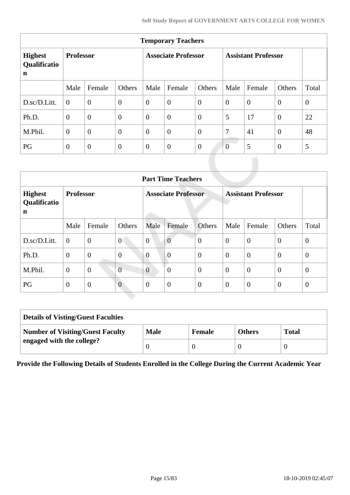| <b>Temporary Teachers</b>                     |                  |                  |                  |                            |                |                |                            |                |                |              |  |  |
|-----------------------------------------------|------------------|------------------|------------------|----------------------------|----------------|----------------|----------------------------|----------------|----------------|--------------|--|--|
| <b>Highest</b><br>Qualificatio<br>$\mathbf n$ | <b>Professor</b> |                  |                  | <b>Associate Professor</b> |                |                | <b>Assistant Professor</b> |                |                |              |  |  |
|                                               | Male             | Female           | Others           | Male                       | Female         | Others         | Male                       | Female         | Others         | Total        |  |  |
| D.sc/D.Litt.                                  | $\theta$         | $\overline{0}$   | $\boldsymbol{0}$ | $\overline{0}$             | $\overline{0}$ | $\overline{0}$ | $\overline{0}$             | $\overline{0}$ | $\overline{0}$ | $\mathbf{0}$ |  |  |
| Ph.D.                                         | $\theta$         | $\boldsymbol{0}$ | $\overline{0}$   | $\overline{0}$             | $\overline{0}$ | $\overline{0}$ | 5                          | 17             | $\overline{0}$ | 22           |  |  |
| M.Phil.                                       | $\overline{0}$   | $\overline{0}$   | $\overline{0}$   | $\overline{0}$             | $\overline{0}$ | $\overline{0}$ | 7                          | 41             | $\overline{0}$ | 48           |  |  |
| PG                                            | $\overline{0}$   | $\theta$         | $\mathbf{0}$     | $\overline{0}$             | $\overline{0}$ | $\overline{0}$ | $\overline{0}$             | 5              | $\overline{0}$ | 5            |  |  |

|                                     | <b>Part Time Teachers</b> |                |                  |                |                            |                |                  |                            |                |              |  |  |
|-------------------------------------|---------------------------|----------------|------------------|----------------|----------------------------|----------------|------------------|----------------------------|----------------|--------------|--|--|
| <b>Highest</b><br>Qualificatio<br>n | <b>Professor</b>          |                |                  |                | <b>Associate Professor</b> |                |                  | <b>Assistant Professor</b> |                |              |  |  |
|                                     | Male                      | Female         | Others           | Male           | Female                     | Others         | Male             | Female                     | Others         | Total        |  |  |
| D.sc/D.Litt.                        | $\overline{0}$            | $\overline{0}$ | $\overline{0}$   | $\overline{0}$ | $\overline{0}$             | $\overline{0}$ | $\overline{0}$   | $\overline{0}$             | $\overline{0}$ | $\mathbf{0}$ |  |  |
| Ph.D.                               | $\mathbf{0}$              | $\overline{0}$ | $\boldsymbol{0}$ | $\overline{0}$ | $\overline{0}$             | $\mathbf{0}$   | $\overline{0}$   | $\overline{0}$             | $\overline{0}$ | $\theta$     |  |  |
| M.Phil.                             | $\overline{0}$            | $\mathbf{0}$   | $\overline{0}$   | $\overline{0}$ | $\theta$                   | $\mathbf{0}$   | $\theta$         | $\overline{0}$             | $\overline{0}$ | $\theta$     |  |  |
| PG                                  | $\theta$                  | $\mathbf{0}$   | $\overline{0}$   | $\overline{0}$ | $\overline{0}$             | $\overline{0}$ | $\boldsymbol{0}$ | $\overline{0}$             | $\theta$       | $\theta$     |  |  |

| <b>Details of Visting/Guest Faculties</b> |             |               |               |              |
|-------------------------------------------|-------------|---------------|---------------|--------------|
| <b>Number of Visiting/Guest Faculty</b>   | <b>Male</b> | <b>Female</b> | <b>Others</b> | <b>Total</b> |
| engaged with the college?                 |             |               |               |              |

**Provide the Following Details of Students Enrolled in the College During the Current Academic Year**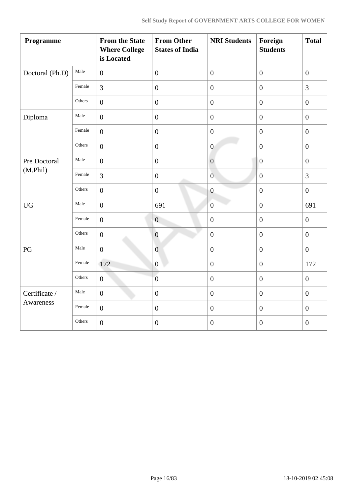| Programme       |        | <b>From the State</b><br><b>Where College</b><br>is Located | <b>From Other</b><br><b>States of India</b> | <b>NRI Students</b> | Foreign<br><b>Students</b> | <b>Total</b>     |
|-----------------|--------|-------------------------------------------------------------|---------------------------------------------|---------------------|----------------------------|------------------|
| Doctoral (Ph.D) | Male   | $\boldsymbol{0}$                                            | $\boldsymbol{0}$                            | $\boldsymbol{0}$    | $\boldsymbol{0}$           | $\boldsymbol{0}$ |
|                 | Female | 3                                                           | $\boldsymbol{0}$                            | $\boldsymbol{0}$    | $\boldsymbol{0}$           | $\overline{3}$   |
|                 | Others | $\boldsymbol{0}$                                            | $\boldsymbol{0}$                            | $\boldsymbol{0}$    | $\boldsymbol{0}$           | $\boldsymbol{0}$ |
| Diploma         | Male   | $\overline{0}$                                              | $\boldsymbol{0}$                            | $\boldsymbol{0}$    | $\boldsymbol{0}$           | $\boldsymbol{0}$ |
|                 | Female | $\overline{0}$                                              | $\boldsymbol{0}$                            | $\boldsymbol{0}$    | $\boldsymbol{0}$           | $\boldsymbol{0}$ |
|                 | Others | $\overline{0}$                                              | $\boldsymbol{0}$                            | $\overline{0}$      | $\boldsymbol{0}$           | $\boldsymbol{0}$ |
| Pre Doctoral    | Male   | $\boldsymbol{0}$                                            | $\boldsymbol{0}$                            | $\boldsymbol{0}$    | $\boldsymbol{0}$           | $\boldsymbol{0}$ |
| (M.Phil)        | Female | $\overline{3}$                                              | $\boldsymbol{0}$                            | $\overline{0}$      | $\boldsymbol{0}$           | $\overline{3}$   |
|                 | Others | $\boldsymbol{0}$                                            | $\boldsymbol{0}$                            | $\overline{0}$      | $\boldsymbol{0}$           | $\boldsymbol{0}$ |
| <b>UG</b>       | Male   | $\mathbf{0}$                                                | 691                                         | $\overline{0}$      | $\overline{0}$             | 691              |
|                 | Female | $\boldsymbol{0}$                                            | $\boldsymbol{0}$                            | $\boldsymbol{0}$    | $\boldsymbol{0}$           | $\boldsymbol{0}$ |
|                 | Others | $\boldsymbol{0}$                                            | $\boldsymbol{0}$                            | $\boldsymbol{0}$    | $\overline{0}$             | $\boldsymbol{0}$ |
| PG              | Male   | $\boldsymbol{0}$                                            | $\boldsymbol{0}$                            | $\boldsymbol{0}$    | $\boldsymbol{0}$           | $\boldsymbol{0}$ |
|                 | Female | 172                                                         | $\boldsymbol{0}$                            | $\boldsymbol{0}$    | $\boldsymbol{0}$           | 172              |
|                 | Others | $\boldsymbol{0}$                                            | $\boldsymbol{0}$                            | $\boldsymbol{0}$    | $\boldsymbol{0}$           | $\boldsymbol{0}$ |
| Certificate /   | Male   | $\overline{0}$                                              | $\boldsymbol{0}$                            | $\boldsymbol{0}$    | $\boldsymbol{0}$           | $\boldsymbol{0}$ |
| Awareness       | Female | $\boldsymbol{0}$                                            | $\boldsymbol{0}$                            | $\boldsymbol{0}$    | $\boldsymbol{0}$           | $\boldsymbol{0}$ |
|                 | Others | $\boldsymbol{0}$                                            | $\boldsymbol{0}$                            | $\boldsymbol{0}$    | $\boldsymbol{0}$           | $\boldsymbol{0}$ |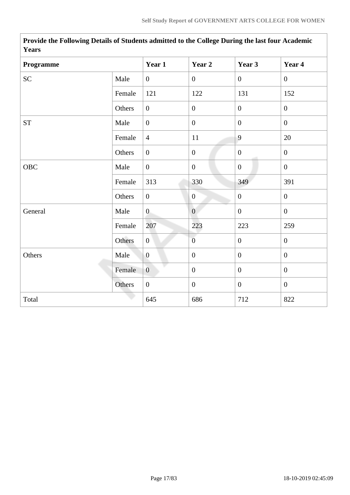| r ears             |        |                  |                  |                |                  |
|--------------------|--------|------------------|------------------|----------------|------------------|
| Programme          |        | Year 1           | Year 2           | Year 3         | Year 4           |
| SC                 | Male   | $\overline{0}$   | $\boldsymbol{0}$ | $\overline{0}$ | $\overline{0}$   |
|                    | Female | 121              | 122              | 131            | 152              |
|                    | Others | $\boldsymbol{0}$ | $\boldsymbol{0}$ | $\overline{0}$ | $\overline{0}$   |
| ${\cal S}{\cal T}$ | Male   | $\boldsymbol{0}$ | $\boldsymbol{0}$ | $\overline{0}$ | $\overline{0}$   |
|                    | Female | $\overline{4}$   | $11\,$           | 9              | 20               |
|                    | Others | $\boldsymbol{0}$ | $\boldsymbol{0}$ | $\overline{0}$ | $\overline{0}$   |
| <b>OBC</b>         | Male   | $\overline{0}$   | $\boldsymbol{0}$ | $\mathbf{0}$   | $\overline{0}$   |
|                    | Female | 313              | 330              | 349            | 391              |
|                    | Others | $\overline{0}$   | $\mathbf{0}$     | $\mathbf{0}$   | $\overline{0}$   |
| General            | Male   | $\overline{0}$   | $\overline{0}$   | $\overline{0}$ | $\overline{0}$   |
|                    | Female | 207              | 223              | 223            | 259              |
|                    | Others | $\mathbf{0}$     | $\overline{0}$   | $\mathbf{0}$   | $\overline{0}$   |
| Others             | Male   | $\boldsymbol{0}$ | $\boldsymbol{0}$ | $\mathbf{0}$   | $\boldsymbol{0}$ |
|                    | Female | $\overline{0}$   | $\boldsymbol{0}$ | $\overline{0}$ | $\overline{0}$   |
|                    | Others | $\boldsymbol{0}$ | $\boldsymbol{0}$ | $\overline{0}$ | $\overline{0}$   |
| Total              |        | 645              | 686              | 712            | 822              |

**Provide the Following Details of Students admitted to the College During the last four Academic Years**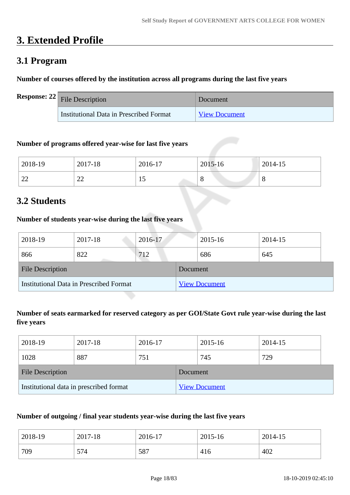# **3. Extended Profile**

# **3.1 Program**

## **Number of courses offered by the institution across all programs during the last five years**

| <b>Response:</b> $22$ File Description  | Document             |
|-----------------------------------------|----------------------|
| Institutional Data in Prescribed Format | <b>View Document</b> |

## **Number of programs offered year-wise for last five years**

| 2018-19      | 2017-18                        | 2016-17 | 2015-16 | 2014-15 |
|--------------|--------------------------------|---------|---------|---------|
| $\cap$<br>∠∠ | ΩΩ<br>$\overline{\phantom{m}}$ | ⊥ J     | ◡       | u       |

# **3.2 Students**

## **Number of students year-wise during the last five years**

| 2018-19                                        | 2017-18 | 2016-17  |                      | 2015-16 | 2014-15 |  |
|------------------------------------------------|---------|----------|----------------------|---------|---------|--|
| 866                                            | 822     | 712      |                      | 686     | 645     |  |
| <b>File Description</b>                        |         | Document |                      |         |         |  |
| <b>Institutional Data in Prescribed Format</b> |         |          | <b>View Document</b> |         |         |  |

## **Number of seats earmarked for reserved category as per GOI/State Govt rule year-wise during the last five years**

| 2018-19                 | 2017-18                                 | 2016-17  |  | 2015-16              | 2014-15 |  |
|-------------------------|-----------------------------------------|----------|--|----------------------|---------|--|
| 1028                    | 887                                     | 751      |  | 745                  | 729     |  |
| <b>File Description</b> |                                         | Document |  |                      |         |  |
|                         | Institutional data in prescribed format |          |  | <b>View Document</b> |         |  |

## **Number of outgoing / final year students year-wise during the last five years**

| 2018-19 | 2017-18 | 2016-17 | 2015-16 | 2014-15 |
|---------|---------|---------|---------|---------|
| 709     | 574     | 587     | 416     | 402     |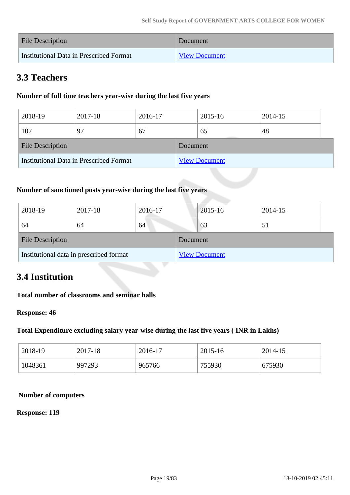| <b>File Description</b>                 | Document             |
|-----------------------------------------|----------------------|
| Institutional Data in Prescribed Format | <b>View Document</b> |

# **3.3 Teachers**

## **Number of full time teachers year-wise during the last five years**

| 2018-19                                 | 2017-18 | 2016-17  |                      | 2015-16 | 2014-15 |  |
|-----------------------------------------|---------|----------|----------------------|---------|---------|--|
| 107                                     | 97      | 67       |                      | 65      | 48      |  |
| <b>File Description</b>                 |         | Document |                      |         |         |  |
| Institutional Data in Prescribed Format |         |          | <b>View Document</b> |         |         |  |

## **Number of sanctioned posts year-wise during the last five years**

| 2018-19                                 | 2017-18 | 2016-17  |                      | 2015-16 | 2014-15 |
|-----------------------------------------|---------|----------|----------------------|---------|---------|
| 64                                      | 64      | 64       |                      | 63      | 51      |
| <b>File Description</b>                 |         | Document |                      |         |         |
| Institutional data in prescribed format |         |          | <b>View Document</b> |         |         |

## **3.4 Institution**

## **Total number of classrooms and seminar halls**

#### **Response: 46**

## **Total Expenditure excluding salary year-wise during the last five years ( INR in Lakhs)**

| 2018-19 | 2017-18 | 2016-17 | 2015-16 | 2014-15 |
|---------|---------|---------|---------|---------|
| 1048361 | 997293  | 965766  | 755930  | 675930  |

#### **Number of computers**

#### **Response: 119**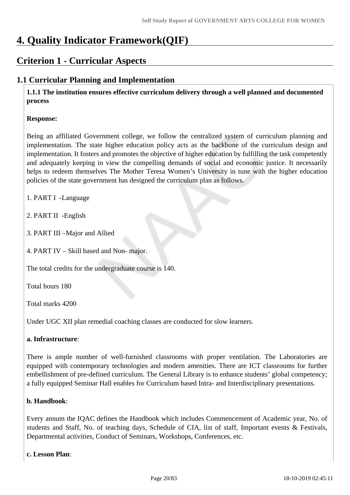# **4. Quality Indicator Framework(QIF)**

# **Criterion 1 - Curricular Aspects**

## **1.1 Curricular Planning and Implementation**

 **1.1.1 The institution ensures effective curriculum delivery through a well planned and documented process** 

## **Response:**

Being an affiliated Government college, we follow the centralized system of curriculum planning and implementation. The state higher education policy acts as the backbone of the curriculum design and implementation. It fosters and promotes the objective of higher education by fulfilling the task competently and adequately keeping in view the compelling demands of social and economic justice. It necessarily helps to redeem themselves The Mother Teresa Women's University in tune with the higher education policies of the state government has designed the curriculum plan as follows.

- 1. PART I -Language
- 2. PART II -English
- 3. PART III –Major and Allied
- 4. PART IV Skill based and Non- major.

The total credits for the undergraduate course is 140.

Total hours 180

Total marks 4200

Under UGC XII plan remedial coaching classes are conducted for slow learners.

## **a. Infrastructure**:

There is ample number of well-furnished classrooms with proper ventilation. The Laboratories are equipped with contemporary technologies and modern amenities. There are ICT classrooms for further embellishment of pre-defined curriculum. The General Library is to enhance students' global competency; a fully equipped Seminar Hall enables for Curriculum based Intra- and Interdisciplinary presentations.

## **b. Handbook**:

Every annum the IQAC defines the Handbook which includes Commencement of Academic year, No. of students and Staff, No. of teaching days, Schedule of CIA, list of staff, Important events & Festivals, Departmental activities, Conduct of Seminars, Workshops, Conferences, etc.

## **c. Lesson Plan**: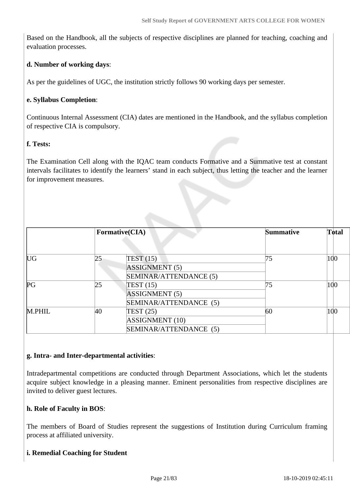Based on the Handbook, all the subjects of respective disciplines are planned for teaching, coaching and evaluation processes.

## **d. Number of working days**:

As per the guidelines of UGC, the institution strictly follows 90 working days per semester.

## **e. Syllabus Completion**:

Continuous Internal Assessment (CIA) dates are mentioned in the Handbook, and the syllabus completion of respective CIA is compulsory.

## **f. Tests:**

The Examination Cell along with the IQAC team conducts Formative and a Summative test at constant intervals facilitates to identify the learners' stand in each subject, thus letting the teacher and the learner for improvement measures.

|                         |    | Formative(CIA)         | <b>Summative</b> | Total |
|-------------------------|----|------------------------|------------------|-------|
| $\mathbb{U} \mathsf{G}$ | 25 | TEST(15)               | 75               | 100   |
|                         |    | <b>ASSIGNMENT</b> (5)  |                  |       |
|                         |    | SEMINAR/ATTENDANCE (5) |                  |       |
| PG                      | 25 | TEST(15)               | 75               | 100   |
|                         |    | <b>ASSIGNMENT (5)</b>  |                  |       |
|                         |    | SEMINAR/ATTENDANCE (5) |                  |       |
| M.PHIL                  | 40 | TEST(25)               | 60               | 100   |
|                         |    | <b>ASSIGNMENT</b> (10) |                  |       |
|                         |    | SEMINAR/ATTENDANCE (5) |                  |       |

## **g. Intra- and Inter-departmental activities**:

Intradepartmental competitions are conducted through Department Associations, which let the students acquire subject knowledge in a pleasing manner. Eminent personalities from respective disciplines are invited to deliver guest lectures.

## **h. Role of Faculty in BOS**:

The members of Board of Studies represent the suggestions of Institution during Curriculum framing process at affiliated university.

## **i. Remedial Coaching for Student**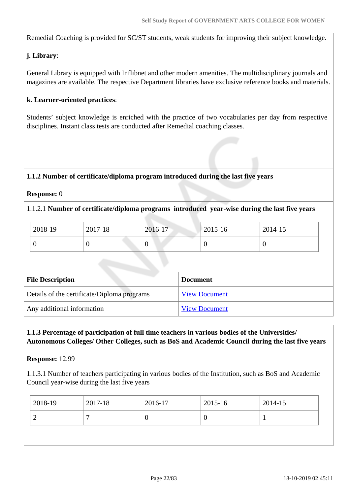Remedial Coaching is provided for SC/ST students, weak students for improving their subject knowledge.

## **j. Library**:

General Library is equipped with Inflibnet and other modern amenities. The multidisciplinary journals and magazines are available. The respective Department libraries have exclusive reference books and materials.

## **k. Learner-oriented practices**:

Students' subject knowledge is enriched with the practice of two vocabularies per day from respective disciplines. Instant class tests are conducted after Remedial coaching classes.

## **1.1.2 Number of certificate/diploma program introduced during the last five years**

## **Response:** 0

## 1.1.2.1 **Number of certificate/diploma programs introduced year-wise during the last five years**

| 2018-19 | 2017-18 | 2016-17 | $2015 - 16$ | 2014-15 |
|---------|---------|---------|-------------|---------|
|         | ◡       | ν       |             |         |

| <b>File Description</b>                     | <b>Document</b>      |
|---------------------------------------------|----------------------|
| Details of the certificate/Diploma programs | <b>View Document</b> |
| Any additional information                  | <b>View Document</b> |

## **1.1.3 Percentage of participation of full time teachers in various bodies of the Universities/ Autonomous Colleges/ Other Colleges, such as BoS and Academic Council during the last five years**

## **Response:** 12.99

1.1.3.1 Number of teachers participating in various bodies of the Institution, such as BoS and Academic Council year-wise during the last five years

|   | 2018-19<br>2017-18<br>2016-17<br>2015-16 | 2014-15 |
|---|------------------------------------------|---------|
| υ |                                          |         |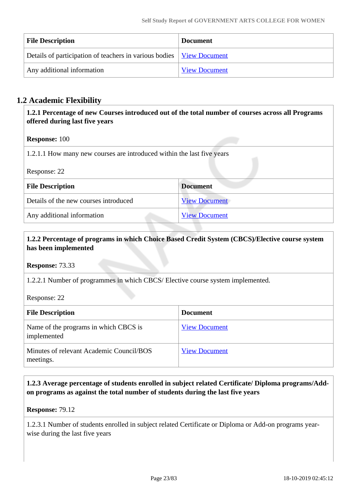| <b>File Description</b>                                                       | <b>Document</b>      |
|-------------------------------------------------------------------------------|----------------------|
| Details of participation of teachers in various bodies   <u>View Document</u> |                      |
| Any additional information                                                    | <b>View Document</b> |

## **1.2 Academic Flexibility**

 **1.2.1 Percentage of new Courses introduced out of the total number of courses across all Programs offered during last five years**

## **Response:** 100

1.2.1.1 How many new courses are introduced within the last five years

| Response: 22                          |                      |  |
|---------------------------------------|----------------------|--|
| <b>File Description</b>               | <b>Document</b>      |  |
| Details of the new courses introduced | <b>View Document</b> |  |
| Any additional information            | <b>View Document</b> |  |

## **1.2.2 Percentage of programs in which Choice Based Credit System (CBCS)/Elective course system has been implemented**

**Response:** 73.33

1.2.2.1 Number of programmes in which CBCS/ Elective course system implemented.

Response: 22

| <b>File Description</b>                               | <b>Document</b>      |
|-------------------------------------------------------|----------------------|
| Name of the programs in which CBCS is<br>implemented  | <b>View Document</b> |
| Minutes of relevant Academic Council/BOS<br>meetings. | <b>View Document</b> |

## **1.2.3 Average percentage of students enrolled in subject related Certificate/ Diploma programs/Addon programs as against the total number of students during the last five years**

**Response:** 79.12

1.2.3.1 Number of students enrolled in subject related Certificate or Diploma or Add-on programs yearwise during the last five years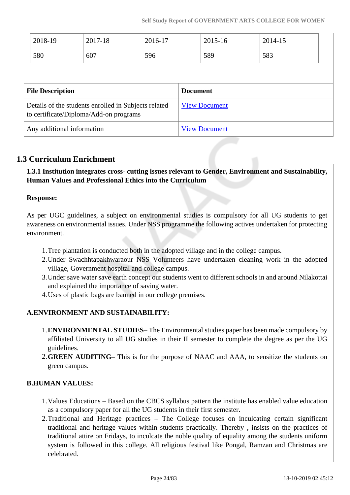|                         | 2018-19 | 2017-18                                                                                        | 2016-17         |  | 2015-16              | 2014-15 |
|-------------------------|---------|------------------------------------------------------------------------------------------------|-----------------|--|----------------------|---------|
|                         | 580     | 607                                                                                            | 596             |  | 589                  | 583     |
|                         |         |                                                                                                |                 |  |                      |         |
| <b>File Description</b> |         |                                                                                                | <b>Document</b> |  |                      |         |
|                         |         |                                                                                                |                 |  |                      |         |
|                         |         | Details of the students enrolled in Subjects related<br>to certificate/Diploma/Add-on programs |                 |  | <b>View Document</b> |         |

## **1.3 Curriculum Enrichment**

 **1.3.1 Institution integrates cross- cutting issues relevant to Gender, Environment and Sustainability, Human Values and Professional Ethics into the Curriculum**

## **Response:**

As per UGC guidelines, a subject on environmental studies is compulsory for all UG students to get awareness on environmental issues. Under NSS programme the following actives undertaken for protecting environment.

- 1.Tree plantation is conducted both in the adopted village and in the college campus.
- 2.Under Swachhtapakhwaraour NSS Volunteers have undertaken cleaning work in the adopted village, Government hospital and college campus.
- 3.Under save water save earth concept our students went to different schools in and around Nilakottai and explained the importance of saving water.
- 4.Uses of plastic bags are banned in our college premises.

## **A.ENVIRONMENT AND SUSTAINABILITY:**

- 1.**ENVIRONMENTAL STUDIES** The Environmental studies paper has been made compulsory by affiliated University to all UG studies in their II semester to complete the degree as per the UG guidelines.
- 2.**GREEN AUDITING** This is for the purpose of NAAC and AAA, to sensitize the students on green campus.

## **B.HUMAN VALUES:**

- 1.Values Educations Based on the CBCS syllabus pattern the institute has enabled value education as a compulsory paper for all the UG students in their first semester.
- 2.Traditional and Heritage practices The College focuses on inculcating certain significant traditional and heritage values within students practically. Thereby , insists on the practices of traditional attire on Fridays, to inculcate the noble quality of equality among the students uniform system is followed in this college. All religious festival like Pongal, Ramzan and Christmas are celebrated.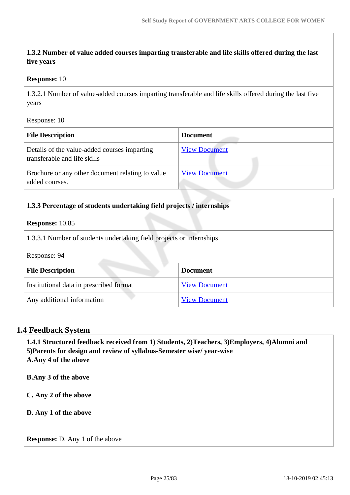## **1.3.2 Number of value added courses imparting transferable and life skills offered during the last five years**

#### **Response:** 10

1.3.2.1 Number of value-added courses imparting transferable and life skills offered during the last five years

Response: 10

| <b>File Description</b>                                                      | <b>Document</b>      |
|------------------------------------------------------------------------------|----------------------|
| Details of the value-added courses imparting<br>transferable and life skills | <b>View Document</b> |
| Brochure or any other document relating to value<br>added courses.           | <b>View Document</b> |

| 1.3.3 Percentage of students undertaking field projects / internships                |                      |  |  |
|--------------------------------------------------------------------------------------|----------------------|--|--|
| <b>Response: 10.85</b>                                                               |                      |  |  |
| 1.3.3.1 Number of students undertaking field projects or internships<br>Response: 94 |                      |  |  |
| <b>File Description</b>                                                              | <b>Document</b>      |  |  |
| Institutional data in prescribed format                                              | <b>View Document</b> |  |  |
| Any additional information                                                           | <b>View Document</b> |  |  |

## **1.4 Feedback System**

 **1.4.1 Structured feedback received from 1) Students, 2)Teachers, 3)Employers, 4)Alumni and 5)Parents for design and review of syllabus-Semester wise/ year-wise A.Any 4 of the above B.Any 3 of the above C. Any 2 of the above D. Any 1 of the above Response:** D. Any 1 of the above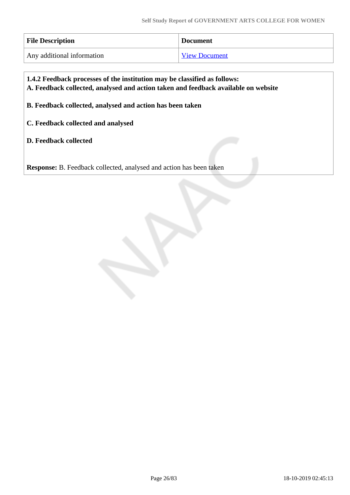| <b>File Description</b>    | <b>Document</b>      |  |
|----------------------------|----------------------|--|
| Any additional information | <b>View Document</b> |  |

 **1.4.2 Feedback processes of the institution may be classified as follows: A. Feedback collected, analysed and action taken and feedback available on website B. Feedback collected, analysed and action has been taken C. Feedback collected and analysed D. Feedback collected**

**Response:** B. Feedback collected, analysed and action has been taken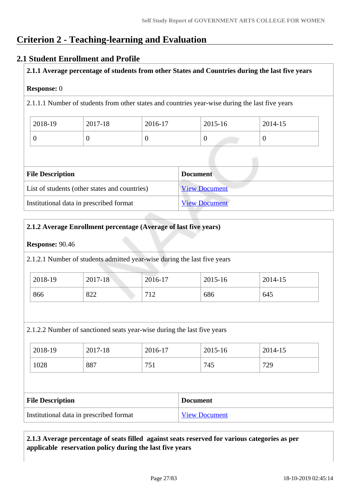# **Criterion 2 - Teaching-learning and Evaluation**

## **2.1 Student Enrollment and Profile**

**2.1.1 Average percentage of students from other States and Countries during the last five years**

#### **Response:** 0

2.1.1.1 Number of students from other states and countries year-wise during the last five years

| 2018-19 | 2017-18 | 2016-17 | 2015-16 | 2014-15 |
|---------|---------|---------|---------|---------|
|         |         |         | ν       |         |

| <b>File Description</b>                       | <b>Document</b>      |  |  |  |
|-----------------------------------------------|----------------------|--|--|--|
| List of students (other states and countries) | <b>View Document</b> |  |  |  |
| Institutional data in prescribed format       | <b>View Document</b> |  |  |  |

## **2.1.2 Average Enrollment percentage (Average of last five years)**

#### **Response:** 90.46

2.1.2.1 Number of students admitted year-wise during the last five years

| 2018-19 | 2017-18 | 2016-17           | 2015-16 | 2014-15 |
|---------|---------|-------------------|---------|---------|
| 866     | 822     | 710<br><b>I</b> 4 | 686     | 645     |

2.1.2.2 Number of sanctioned seats year-wise during the last five years

| 2018-19 | 2017-18 | 2016-17     | 2015-16 | 2014-15 |
|---------|---------|-------------|---------|---------|
| 1028    | 887     | ワミ<br>7 J T | 745     | 729     |

| <b>File Description</b>                 | <b>Document</b>      |
|-----------------------------------------|----------------------|
| Institutional data in prescribed format | <b>View Document</b> |

## **2.1.3 Average percentage of seats filled against seats reserved for various categories as per applicable reservation policy during the last five years**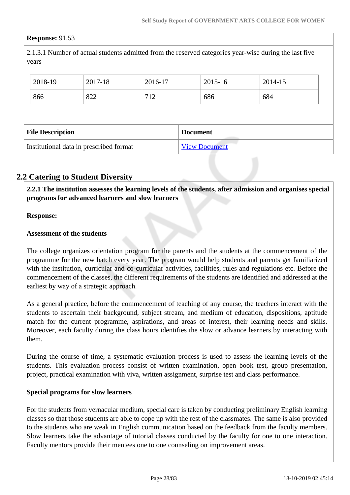#### **Response:** 91.53

2.1.3.1 Number of actual students admitted from the reserved categories year-wise during the last five years

| 2018-19                 | 2017-18 | 2016-17 |                 | 2015-16 | 2014-15 |
|-------------------------|---------|---------|-----------------|---------|---------|
| 866                     | 822     | 712     |                 | 686     | 684     |
|                         |         |         |                 |         |         |
| <b>File Description</b> |         |         |                 |         |         |
|                         |         |         | <b>Document</b> |         |         |

## **2.2 Catering to Student Diversity**

 **2.2.1 The institution assesses the learning levels of the students, after admission and organises special programs for advanced learners and slow learners**

#### **Response:**

#### **Assessment of the students**

The college organizes orientation program for the parents and the students at the commencement of the programme for the new batch every year. The program would help students and parents get familiarized with the institution, curricular and co-curricular activities, facilities, rules and regulations etc. Before the commencement of the classes, the different requirements of the students are identified and addressed at the earliest by way of a strategic approach.

As a general practice, before the commencement of teaching of any course, the teachers interact with the students to ascertain their background, subject stream, and medium of education, dispositions, aptitude match for the current programme, aspirations, and areas of interest, their learning needs and skills. Moreover, each faculty during the class hours identifies the slow or advance learners by interacting with them.

During the course of time, a systematic evaluation process is used to assess the learning levels of the students. This evaluation process consist of written examination, open book test, group presentation, project, practical examination with viva, written assignment, surprise test and class performance.

#### **Special programs for slow learners**

For the students from vernacular medium, special care is taken by conducting preliminary English learning classes so that those students are able to cope up with the rest of the classmates. The same is also provided to the students who are weak in English communication based on the feedback from the faculty members. Slow learners take the advantage of tutorial classes conducted by the faculty for one to one interaction. Faculty mentors provide their mentees one to one counseling on improvement areas.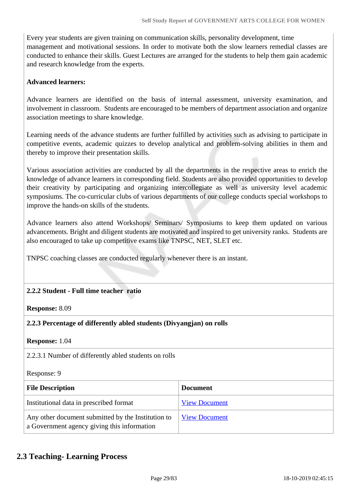Every year students are given training on communication skills, personality development, time management and motivational sessions. In order to motivate both the slow learners remedial classes are conducted to enhance their skills. Guest Lectures are arranged for the students to help them gain academic and research knowledge from the experts.

## **Advanced learners:**

Advance learners are identified on the basis of internal assessment, university examination, and involvement in classroom. Students are encouraged to be members of department association and organize association meetings to share knowledge.

Learning needs of the advance students are further fulfilled by activities such as advising to participate in competitive events, academic quizzes to develop analytical and problem-solving abilities in them and thereby to improve their presentation skills.

Various association activities are conducted by all the departments in the respective areas to enrich the knowledge of advance learners in corresponding field. Students are also provided opportunities to develop their creativity by participating and organizing intercollegiate as well as university level academic symposiums. The co-curricular clubs of various departments of our college conducts special workshops to improve the hands-on skills of the students.

Advance learners also attend Workshops/ Seminars/ Symposiums to keep them updated on various advancements. Bright and diligent students are motivated and inspired to get university ranks. Students are also encouraged to take up competitive exams like TNPSC, NET, SLET etc.

TNPSC coaching classes are conducted regularly whenever there is an instant.

## **2.2.2 Student - Full time teacher ratio**

## **Response:** 8.09

## **2.2.3 Percentage of differently abled students (Divyangjan) on rolls**

#### **Response:** 1.04

2.2.3.1 Number of differently abled students on rolls

#### Response: 9

| <b>File Description</b>                                                                           | <b>Document</b>      |
|---------------------------------------------------------------------------------------------------|----------------------|
| Institutional data in prescribed format                                                           | <b>View Document</b> |
| Any other document submitted by the Institution to<br>a Government agency giving this information | <b>View Document</b> |

## **2.3 Teaching- Learning Process**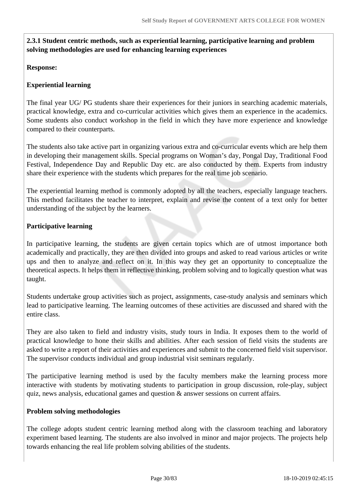## **2.3.1 Student centric methods, such as experiential learning, participative learning and problem solving methodologies are used for enhancing learning experiences**

## **Response:**

## **Experiential learning**

The final year UG/ PG students share their experiences for their juniors in searching academic materials, practical knowledge, extra and co-curricular activities which gives them an experience in the academics. Some students also conduct workshop in the field in which they have more experience and knowledge compared to their counterparts.

The students also take active part in organizing various extra and co-curricular events which are help them in developing their management skills. Special programs on Woman's day, Pongal Day, Traditional Food Festival, Independence Day and Republic Day etc. are also conducted by them. Experts from industry share their experience with the students which prepares for the real time job scenario.

The experiential learning method is commonly adopted by all the teachers, especially language teachers. This method facilitates the teacher to interpret, explain and revise the content of a text only for better understanding of the subject by the learners.

## **Participative learning**

In participative learning, the students are given certain topics which are of utmost importance both academically and practically, they are then divided into groups and asked to read various articles or write ups and then to analyze and reflect on it. In this way they get an opportunity to conceptualize the theoretical aspects. It helps them in reflective thinking, problem solving and to logically question what was taught.

Students undertake group activities such as project, assignments, case-study analysis and seminars which lead to participative learning. The learning outcomes of these activities are discussed and shared with the entire class.

They are also taken to field and industry visits, study tours in India. It exposes them to the world of practical knowledge to hone their skills and abilities. After each session of field visits the students are asked to write a report of their activities and experiences and submit to the concerned field visit supervisor. The supervisor conducts individual and group industrial visit seminars regularly.

The participative learning method is used by the faculty members make the learning process more interactive with students by motivating students to participation in group discussion, role-play, subject quiz, news analysis, educational games and question & answer sessions on current affairs.

## **Problem solving methodologies**

The college adopts student centric learning method along with the classroom teaching and laboratory experiment based learning. The students are also involved in minor and major projects. The projects help towards enhancing the real life problem solving abilities of the students.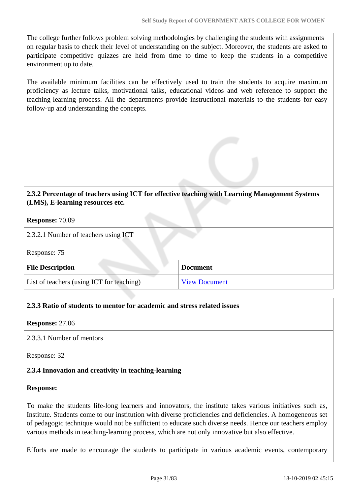The college further follows problem solving methodologies by challenging the students with assignments on regular basis to check their level of understanding on the subject. Moreover, the students are asked to participate competitive quizzes are held from time to time to keep the students in a competitive environment up to date.

The available minimum facilities can be effectively used to train the students to acquire maximum proficiency as lecture talks, motivational talks, educational videos and web reference to support the teaching-learning process. All the departments provide instructional materials to the students for easy follow-up and understanding the concepts.

## **2.3.2 Percentage of teachers using ICT for effective teaching with Learning Management Systems (LMS), E-learning resources etc.**

#### **Response:** 70.09

2.3.2.1 Number of teachers using ICT

Response: 75

| <b>File Description</b>                   | <b>Document</b>      |
|-------------------------------------------|----------------------|
| List of teachers (using ICT for teaching) | <b>View Document</b> |

## **2.3.3 Ratio of students to mentor for academic and stress related issues**

**Response:** 27.06

2.3.3.1 Number of mentors

Response: 32

## **2.3.4 Innovation and creativity in teaching-learning**

## **Response:**

To make the students life-long learners and innovators, the institute takes various initiatives such as, Institute. Students come to our institution with diverse proficiencies and deficiencies. A homogeneous set of pedagogic technique would not be sufficient to educate such diverse needs. Hence our teachers employ various methods in teaching-learning process, which are not only innovative but also effective.

Efforts are made to encourage the students to participate in various academic events, contemporary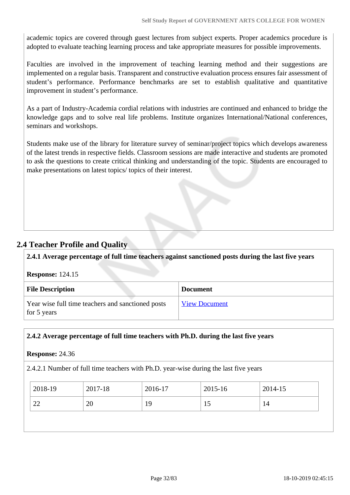academic topics are covered through guest lectures from subject experts. Proper academics procedure is adopted to evaluate teaching learning process and take appropriate measures for possible improvements.

Faculties are involved in the improvement of teaching learning method and their suggestions are implemented on a regular basis. Transparent and constructive evaluation process ensures fair assessment of student's performance. Performance benchmarks are set to establish qualitative and quantitative improvement in student's performance.

As a part of Industry-Academia cordial relations with industries are continued and enhanced to bridge the knowledge gaps and to solve real life problems. Institute organizes International/National conferences, seminars and workshops.

Students make use of the library for literature survey of seminar/project topics which develops awareness of the latest trends in respective fields. Classroom sessions are made interactive and students are promoted to ask the questions to create critical thinking and understanding of the topic. Students are encouraged to make presentations on latest topics/ topics of their interest.

## **2.4 Teacher Profile and Quality**

**2.4.1 Average percentage of full time teachers against sanctioned posts during the last five years**

| <b>Response: 124.15</b> |  |
|-------------------------|--|
|-------------------------|--|

| <b>File Description</b>                                          | <b>Document</b>      |
|------------------------------------------------------------------|----------------------|
| Year wise full time teachers and sanctioned posts<br>for 5 years | <b>View Document</b> |

## **2.4.2 Average percentage of full time teachers with Ph.D. during the last five years**

#### **Response:** 24.36

2.4.2.1 Number of full time teachers with Ph.D. year-wise during the last five years

| $\frac{12018-19}{ }$ | 2017-18 | 2016-17 | $2015 - 16$ | 2014-15 |
|----------------------|---------|---------|-------------|---------|
| 22                   | 20      | 19      | 10          | 14      |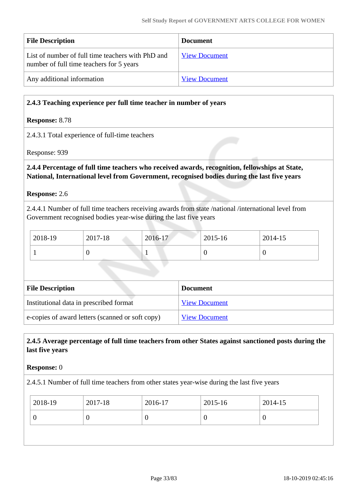| <b>File Description</b>                                                                       | <b>Document</b>      |
|-----------------------------------------------------------------------------------------------|----------------------|
| List of number of full time teachers with PhD and<br>number of full time teachers for 5 years | <b>View Document</b> |
| Any additional information                                                                    | <b>View Document</b> |

## **2.4.3 Teaching experience per full time teacher in number of years**

#### **Response:** 8.78

#### 2.4.3.1 Total experience of full-time teachers

Response: 939

## **2.4.4 Percentage of full time teachers who received awards, recognition, fellowships at State, National, International level from Government, recognised bodies during the last five years**

#### **Response:** 2.6

2.4.4.1 Number of full time teachers receiving awards from state /national /international level from Government recognised bodies year-wise during the last five years

| 2018-19 | 2017-18 | 2016-17 | 2015-16 | 2014-15 |
|---------|---------|---------|---------|---------|
|         |         |         | ν       |         |

| <b>File Description</b>                          | <b>Document</b>      |
|--------------------------------------------------|----------------------|
| Institutional data in prescribed format          | <b>View Document</b> |
| e-copies of award letters (scanned or soft copy) | <b>View Document</b> |

## **2.4.5 Average percentage of full time teachers from other States against sanctioned posts during the last five years**

#### **Response:** 0

2.4.5.1 Number of full time teachers from other states year-wise during the last five years

| 2018-19<br>2015-16<br>2017-18<br>2016-17 | 2014-15 |
|------------------------------------------|---------|
| U<br>U<br>U<br>ν                         |         |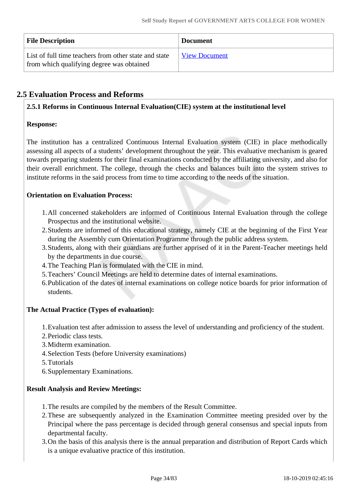| <b>File Description</b>                                                                            | <b>Document</b>      |
|----------------------------------------------------------------------------------------------------|----------------------|
| List of full time teachers from other state and state<br>from which qualifying degree was obtained | <b>View Document</b> |

## **2.5 Evaluation Process and Reforms**

## **2.5.1 Reforms in Continuous Internal Evaluation(CIE) system at the institutional level**

## **Response:**

The institution has a centralized Continuous Internal Evaluation system (CIE) in place methodically assessing all aspects of a students' development throughout the year. This evaluative mechanism is geared towards preparing students for their final examinations conducted by the affiliating university, and also for their overall enrichment. The college, through the checks and balances built into the system strives to institute reforms in the said process from time to time according to the needs of the situation.

## **Orientation on Evaluation Process:**

- 1.All concerned stakeholders are informed of Continuous Internal Evaluation through the college Prospectus and the institutional website.
- 2.Students are informed of this educational strategy, namely CIE at the beginning of the First Year during the Assembly cum Orientation Programme through the public address system.
- 3.Students, along with their guardians are further apprised of it in the Parent-Teacher meetings held by the departments in due course.
- 4.The Teaching Plan is formulated with the CIE in mind.
- 5.Teachers' Council Meetings are held to determine dates of internal examinations.
- 6.Publication of the dates of internal examinations on college notice boards for prior information of students.

## **The Actual Practice (Types of evaluation):**

1.Evaluation test after admission to assess the level of understanding and proficiency of the student.

- 2.Periodic class tests.
- 3.Midterm examination.
- 4.Selection Tests (before University examinations)
- 5.Tutorials
- 6.Supplementary Examinations.

## **Result Analysis and Review Meetings:**

- 1.The results are compiled by the members of the Result Committee.
- 2.These are subsequently analyzed in the Examination Committee meeting presided over by the Principal where the pass percentage is decided through general consensus and special inputs from departmental faculty.
- 3.On the basis of this analysis there is the annual preparation and distribution of Report Cards which is a unique evaluative practice of this institution.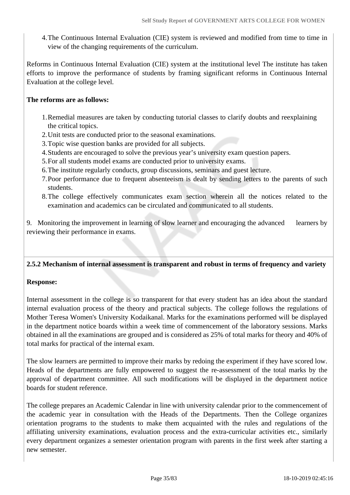4.The Continuous Internal Evaluation (CIE) system is reviewed and modified from time to time in view of the changing requirements of the curriculum.

Reforms in Continuous Internal Evaluation (CIE) system at the institutional level The institute has taken efforts to improve the performance of students by framing significant reforms in Continuous Internal Evaluation at the college level.

## **The reforms are as follows:**

- 1.Remedial measures are taken by conducting tutorial classes to clarify doubts and reexplaining the critical topics.
- 2.Unit tests are conducted prior to the seasonal examinations.
- 3.Topic wise question banks are provided for all subjects.
- 4.Students are encouraged to solve the previous year's university exam question papers.
- 5.For all students model exams are conducted prior to university exams.
- 6.The institute regularly conducts, group discussions, seminars and guest lecture.
- 7.Poor performance due to frequent absenteeism is dealt by sending letters to the parents of such students.
- 8.The college effectively communicates exam section wherein all the notices related to the examination and academics can be circulated and communicated to all students.

9. Monitoring the improvement in learning of slow learner and encouraging the advanced learners by reviewing their performance in exams.

## **2.5.2 Mechanism of internal assessment is transparent and robust in terms of frequency and variety**

## **Response:**

Internal assessment in the college is so transparent for that every student has an idea about the standard internal evaluation process of the theory and practical subjects. The college follows the regulations of Mother Teresa Women's University Kodaikanal. Marks for the examinations performed will be displayed in the department notice boards within a week time of commencement of the laboratory sessions. Marks obtained in all the examinations are grouped and is considered as 25% of total marks for theory and 40% of total marks for practical of the internal exam.

The slow learners are permitted to improve their marks by redoing the experiment if they have scored low. Heads of the departments are fully empowered to suggest the re-assessment of the total marks by the approval of department committee. All such modifications will be displayed in the department notice boards for student reference.

The college prepares an Academic Calendar in line with university calendar prior to the commencement of the academic year in consultation with the Heads of the Departments. Then the College organizes orientation programs to the students to make them acquainted with the rules and regulations of the affiliating university examinations, evaluation process and the extra-curricular activities etc., similarly every department organizes a semester orientation program with parents in the first week after starting a new semester.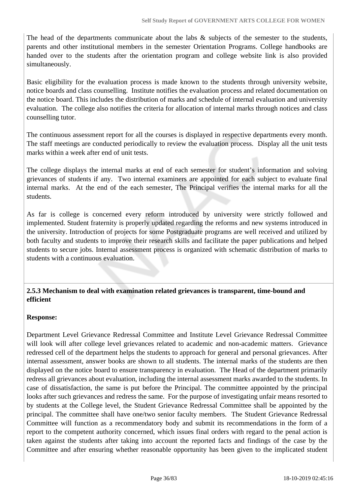The head of the departments communicate about the labs  $\&$  subjects of the semester to the students, parents and other institutional members in the semester Orientation Programs. College handbooks are handed over to the students after the orientation program and college website link is also provided simultaneously.

Basic eligibility for the evaluation process is made known to the students through university website, notice boards and class counselling. Institute notifies the evaluation process and related documentation on the notice board. This includes the distribution of marks and schedule of internal evaluation and university evaluation. The college also notifies the criteria for allocation of internal marks through notices and class counselling tutor.

The continuous assessment report for all the courses is displayed in respective departments every month. The staff meetings are conducted periodically to review the evaluation process. Display all the unit tests marks within a week after end of unit tests.

The college displays the internal marks at end of each semester for student's information and solving grievances of students if any. Two internal examiners are appointed for each subject to evaluate final internal marks. At the end of the each semester, The Principal verifies the internal marks for all the students.

As far is college is concerned every reform introduced by university were strictly followed and implemented. Student fraternity is properly updated regarding the reforms and new systems introduced in the university. Introduction of projects for some Postgraduate programs are well received and utilized by both faculty and students to improve their research skills and facilitate the paper publications and helped students to secure jobs. Internal assessment process is organized with schematic distribution of marks to students with a continuous evaluation.

## **2.5.3 Mechanism to deal with examination related grievances is transparent, time-bound and efficient**

## **Response:**

Department Level Grievance Redressal Committee and Institute Level Grievance Redressal Committee will look will after college level grievances related to academic and non-academic matters. Grievance redressed cell of the department helps the students to approach for general and personal grievances. After internal assessment, answer books are shown to all students. The internal marks of the students are then displayed on the notice board to ensure transparency in evaluation. The Head of the department primarily redress all grievances about evaluation, including the internal assessment marks awarded to the students. In case of dissatisfaction, the same is put before the Principal. The committee appointed by the principal looks after such grievances and redress the same. For the purpose of investigating unfair means resorted to by students at the College level, the Student Grievance Redressal Committee shall be appointed by the principal. The committee shall have one/two senior faculty members. The Student Grievance Redressal Committee will function as a recommendatory body and submit its recommendations in the form of a report to the competent authority concerned, which issues final orders with regard to the penal action is taken against the students after taking into account the reported facts and findings of the case by the Committee and after ensuring whether reasonable opportunity has been given to the implicated student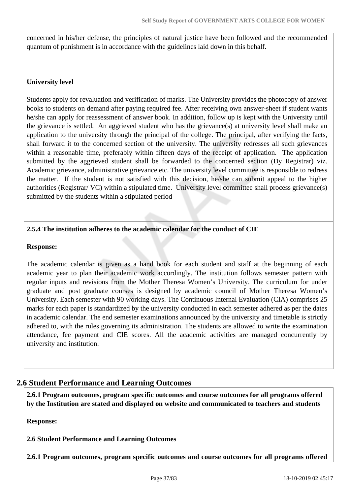concerned in his/her defense, the principles of natural justice have been followed and the recommended quantum of punishment is in accordance with the guidelines laid down in this behalf.

#### **University level**

Students apply for revaluation and verification of marks. The University provides the photocopy of answer books to students on demand after paying required fee. After receiving own answer-sheet if student wants he/she can apply for reassessment of answer book. In addition, follow up is kept with the University until the grievance is settled. An aggrieved student who has the grievance(s) at university level shall make an application to the university through the principal of the college. The principal, after verifying the facts, shall forward it to the concerned section of the university. The university redresses all such grievances within a reasonable time, preferably within fifteen days of the receipt of application. The application submitted by the aggrieved student shall be forwarded to the concerned section (Dy Registrar) viz. Academic grievance, administrative grievance etc. The university level committee is responsible to redress the matter. If the student is not satisfied with this decision, he/she can submit appeal to the higher authorities (Registrar/ VC) within a stipulated time. University level committee shall process grievance(s) submitted by the students within a stipulated period

## **2.5.4 The institution adheres to the academic calendar for the conduct of CIE**

#### **Response:**

The academic calendar is given as a hand book for each student and staff at the beginning of each academic year to plan their academic work accordingly. The institution follows semester pattern with regular inputs and revisions from the Mother Theresa Women's University. The curriculum for under graduate and post graduate courses is designed by academic council of Mother Theresa Women's University. Each semester with 90 working days. The Continuous Internal Evaluation (CIA) comprises 25 marks for each paper is standardized by the university conducted in each semester adhered as per the dates in academic calendar. The end semester examinations announced by the university and timetable is strictly adhered to, with the rules governing its administration. The students are allowed to write the examination attendance, fee payment and CIE scores. All the academic activities are managed concurrently by university and institution.

## **2.6 Student Performance and Learning Outcomes**

 **2.6.1 Program outcomes, program specific outcomes and course outcomes for all programs offered by the Institution are stated and displayed on website and communicated to teachers and students**

**Response:** 

**2.6 Student Performance and Learning Outcomes**

**2.6.1 Program outcomes, program specific outcomes and course outcomes for all programs offered**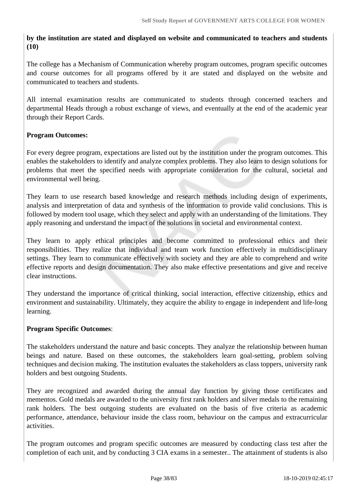## **by the institution are stated and displayed on website and communicated to teachers and students (10)**

The college has a Mechanism of Communication whereby program outcomes, program specific outcomes and course outcomes for all programs offered by it are stated and displayed on the website and communicated to teachers and students.

All internal examination results are communicated to students through concerned teachers and departmental Heads through a robust exchange of views, and eventually at the end of the academic year through their Report Cards.

## **Program Outcomes:**

For every degree program, expectations are listed out by the institution under the program outcomes. This enables the stakeholders to identify and analyze complex problems. They also learn to design solutions for problems that meet the specified needs with appropriate consideration for the cultural, societal and environmental well being.

They learn to use research based knowledge and research methods including design of experiments, analysis and interpretation of data and synthesis of the information to provide valid conclusions. This is followed by modern tool usage, which they select and apply with an understanding of the limitations. They apply reasoning and understand the impact of the solutions in societal and environmental context.

They learn to apply ethical principles and become committed to professional ethics and their responsibilities. They realize that individual and team work function effectively in multidisciplinary settings. They learn to communicate effectively with society and they are able to comprehend and write effective reports and design documentation. They also make effective presentations and give and receive clear instructions.

They understand the importance of critical thinking, social interaction, effective citizenship, ethics and environment and sustainability. Ultimately, they acquire the ability to engage in independent and life-long learning.

#### **Program Specific Outcomes**:

The stakeholders understand the nature and basic concepts. They analyze the relationship between human beings and nature. Based on these outcomes, the stakeholders learn goal-setting, problem solving techniques and decision making. The institution evaluates the stakeholders as class toppers, university rank holders and best outgoing Students.

They are recognized and awarded during the annual day function by giving those certificates and mementos. Gold medals are awarded to the university first rank holders and silver medals to the remaining rank holders. The best outgoing students are evaluated on the basis of five criteria as academic performance, attendance, behaviour inside the class room, behaviour on the campus and extracurricular activities.

The program outcomes and program specific outcomes are measured by conducting class test after the completion of each unit, and by conducting 3 CIA exams in a semester.. The attainment of students is also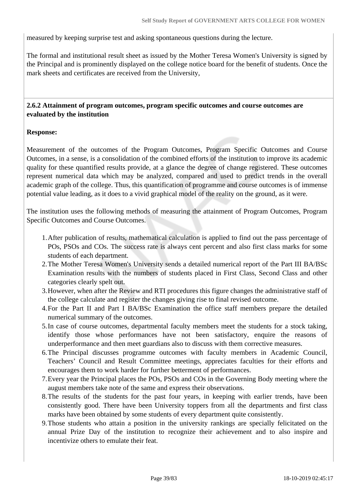measured by keeping surprise test and asking spontaneous questions during the lecture.

The formal and institutional result sheet as issued by the Mother Teresa Women's University is signed by the Principal and is prominently displayed on the college notice board for the benefit of students. Once the mark sheets and certificates are received from the University,

#### **2.6.2 Attainment of program outcomes, program specific outcomes and course outcomes are evaluated by the institution**

#### **Response:**

Measurement of the outcomes of the Program Outcomes, Program Specific Outcomes and Course Outcomes, in a sense, is a consolidation of the combined efforts of the institution to improve its academic quality for these quantified results provide, at a glance the degree of change registered. These outcomes represent numerical data which may be analyzed, compared and used to predict trends in the overall academic graph of the college. Thus, this quantification of programme and course outcomes is of immense potential value leading, as it does to a vivid graphical model of the reality on the ground, as it were.

The institution uses the following methods of measuring the attainment of Program Outcomes, Program Specific Outcomes and Course Outcomes.

- 1.After publication of results, mathematical calculation is applied to find out the pass percentage of POs, PSOs and COs. The success rate is always cent percent and also first class marks for some students of each department.
- 2.The Mother Teresa Women's University sends a detailed numerical report of the Part III BA/BSc Examination results with the numbers of students placed in First Class, Second Class and other categories clearly spelt out.
- 3.However, when after the Review and RTI procedures this figure changes the administrative staff of the college calculate and register the changes giving rise to final revised outcome.
- 4.For the Part II and Part I BA/BSc Examination the office staff members prepare the detailed numerical summary of the outcomes.
- 5.In case of course outcomes, departmental faculty members meet the students for a stock taking, identify those whose performances have not been satisfactory, enquire the reasons of underperformance and then meet guardians also to discuss with them corrective measures.
- 6.The Principal discusses programme outcomes with faculty members in Academic Council, Teachers' Council and Result Committee meetings, appreciates faculties for their efforts and encourages them to work harder for further betterment of performances.
- 7.Every year the Principal places the POs, PSOs and COs in the Governing Body meeting where the august members take note of the same and express their observations.
- 8.The results of the students for the past four years, in keeping with earlier trends, have been consistently good. There have been University toppers from all the departments and first class marks have been obtained by some students of every department quite consistently.
- 9.Those students who attain a position in the university rankings are specially felicitated on the annual Prize Day of the institution to recognize their achievement and to also inspire and incentivize others to emulate their feat.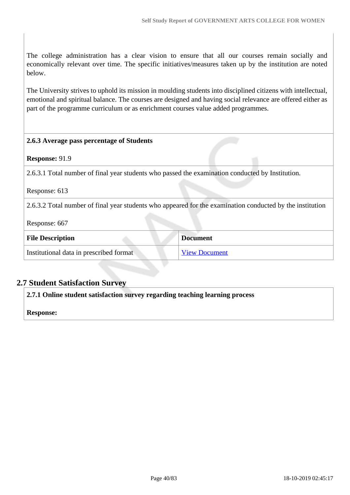The college administration has a clear vision to ensure that all our courses remain socially and economically relevant over time. The specific initiatives/measures taken up by the institution are noted below.

The University strives to uphold its mission in moulding students into disciplined citizens with intellectual, emotional and spiritual balance. The courses are designed and having social relevance are offered either as part of the programme curriculum or as enrichment courses value added programmes.

# **2.6.3 Average pass percentage of Students Response:** 91.9 2.6.3.1 Total number of final year students who passed the examination conducted by Institution. Response: 613 2.6.3.2 Total number of final year students who appeared for the examination conducted by the institution Response: 667 **File Description Document** Institutional data in prescribed format [View Document](https://assessmentonline.naac.gov.in/storage/app/hei/SSR/103779/2.6.3_1569569996_3779.xlsx)

## **2.7 Student Satisfaction Survey**

**2.7.1 Online student satisfaction survey regarding teaching learning process**

**Response:**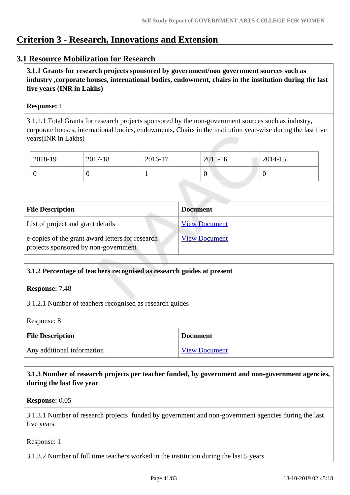# **Criterion 3 - Research, Innovations and Extension**

## **3.1 Resource Mobilization for Research**

 **3.1.1 Grants for research projects sponsored by government/non government sources such as industry ,corporate houses, international bodies, endowment, chairs in the institution during the last five years (INR in Lakhs)** 

## **Response:** 1

3.1.1.1 Total Grants for research projects sponsored by the non-government sources such as industry, corporate houses, international bodies, endowments, Chairs in the institution year-wise during the last five years(INR in Lakhs)

| 2018-19 | 2017-18 | 2016-17 | 2015-16 | 2014-15 |
|---------|---------|---------|---------|---------|
|         | v       |         | ◡       | - U     |

| <b>File Description</b>                                                                  | <b>Document</b>      |
|------------------------------------------------------------------------------------------|----------------------|
| List of project and grant details                                                        | <b>View Document</b> |
| e-copies of the grant award letters for research<br>projects sponsored by non-government | <b>View Document</b> |

## **3.1.2 Percentage of teachers recognised as research guides at present**

**Response:** 7.48

3.1.2.1 Number of teachers recognised as research guides

Response: 8

| <b>File Description</b>    | <b>Document</b>      |
|----------------------------|----------------------|
| Any additional information | <b>View Document</b> |

 **3.1.3 Number of research projects per teacher funded, by government and non-government agencies, during the last five year**

**Response:** 0.05

3.1.3.1 Number of research projects funded by government and non-government agencies during the last five years

Response: 1

3.1.3.2 Number of full time teachers worked in the institution during the last 5 years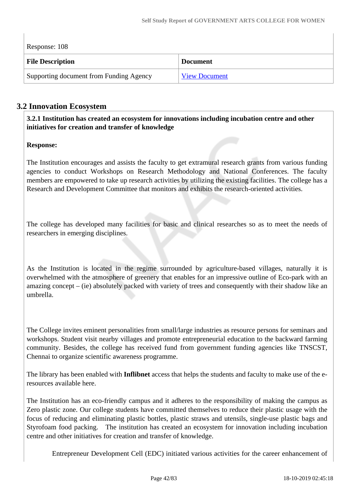| Response: 108                           |                      |  |  |
|-----------------------------------------|----------------------|--|--|
| <b>File Description</b>                 | <b>Document</b>      |  |  |
| Supporting document from Funding Agency | <b>View Document</b> |  |  |

## **3.2 Innovation Ecosystem**

 **3.2.1 Institution has created an ecosystem for innovations including incubation centre and other initiatives for creation and transfer of knowledge**

## **Response:**

The Institution encourages and assists the faculty to get extramural research grants from various funding agencies to conduct Workshops on Research Methodology and National Conferences. The faculty members are empowered to take up research activities by utilizing the existing facilities. The college has a Research and Development Committee that monitors and exhibits the research-oriented activities.

The college has developed many facilities for basic and clinical researches so as to meet the needs of researchers in emerging disciplines.

As the Institution is located in the regime surrounded by agriculture-based villages, naturally it is overwhelmed with the atmosphere of greenery that enables for an impressive outline of Eco-park with an amazing concept – (ie) absolutely packed with variety of trees and consequently with their shadow like an umbrella.

The College invites eminent personalities from small/large industries as resource persons for seminars and workshops. Student visit nearby villages and promote entrepreneurial education to the backward farming community. Besides, the college has received fund from government funding agencies like TNSCST, Chennai to organize scientific awareness programme.

The library has been enabled with **Inflibnet** access that helps the students and faculty to make use of the eresources available here.

The Institution has an eco-friendly campus and it adheres to the responsibility of making the campus as Zero plastic zone. Our college students have committed themselves to reduce their plastic usage with the focus of reducing and eliminating plastic bottles, plastic straws and utensils, single-use plastic bags and Styrofoam food packing. The institution has created an ecosystem for innovation including incubation centre and other initiatives for creation and transfer of knowledge.

Entrepreneur Development Cell (EDC) initiated various activities for the career enhancement of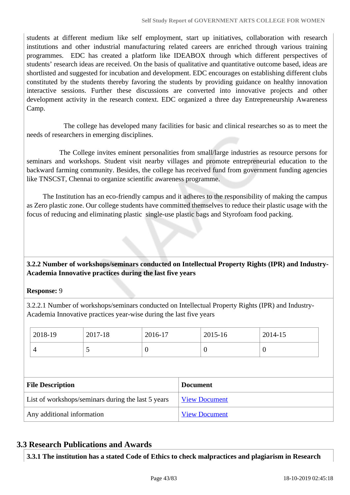students at different medium like self employment, start up initiatives, collaboration with research institutions and other industrial manufacturing related careers are enriched through various training programmes. EDC has created a platform like IDEABOX through which different perspectives of students' research ideas are received. On the basis of qualitative and quantitative outcome based, ideas are shortlisted and suggested for incubation and development. EDC encourages on establishing different clubs constituted by the students thereby favoring the students by providing guidance on healthy innovation interactive sessions. Further these discussions are converted into innovative projects and other development activity in the research context. EDC organized a three day Entrepreneurship Awareness Camp.

 The college has developed many facilities for basic and clinical researches so as to meet the needs of researchers in emerging disciplines.

 The College invites eminent personalities from small/large industries as resource persons for seminars and workshops. Student visit nearby villages and promote entrepreneurial education to the backward farming community. Besides, the college has received fund from government funding agencies like TNSCST, Chennai to organize scientific awareness programme.

 The Institution has an eco-friendly campus and it adheres to the responsibility of making the campus as Zero plastic zone. Our college students have committed themselves to reduce their plastic usage with the focus of reducing and eliminating plastic single-use plastic bags and Styrofoam food packing.

## **3.2.2 Number of workshops/seminars conducted on Intellectual Property Rights (IPR) and Industry-Academia Innovative practices during the last five years**

#### **Response:** 9

3.2.2.1 Number of workshops/seminars conducted on Intellectual Property Rights (IPR) and Industry-Academia Innovative practices year-wise during the last five years

|                                                    | 2018-19 | 2017-18              | 2016-17              |  | 2015-16        | 2014-15          |  |
|----------------------------------------------------|---------|----------------------|----------------------|--|----------------|------------------|--|
|                                                    | 4       | 5                    | $\boldsymbol{0}$     |  | $\overline{0}$ | $\boldsymbol{0}$ |  |
|                                                    |         |                      |                      |  |                |                  |  |
| <b>File Description</b>                            |         |                      | <b>Document</b>      |  |                |                  |  |
| List of workshops/seminars during the last 5 years |         | <b>View Document</b> |                      |  |                |                  |  |
| Any additional information                         |         |                      | <b>View Document</b> |  |                |                  |  |

## **3.3 Research Publications and Awards**

**3.3.1 The institution has a stated Code of Ethics to check malpractices and plagiarism in Research**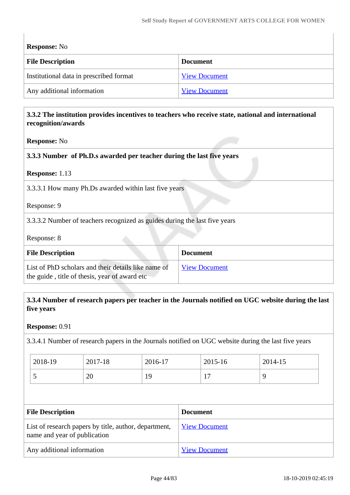$\overline{\phantom{a}}$ 

| <b>Response:</b> No                     |                      |  |  |
|-----------------------------------------|----------------------|--|--|
| <b>File Description</b>                 | <b>Document</b>      |  |  |
| Institutional data in prescribed format | <b>View Document</b> |  |  |
| Any additional information              | <b>View Document</b> |  |  |

## **3.3.2 The institution provides incentives to teachers who receive state, national and international recognition/awards**

#### **Response:** No

## **3.3.3 Number of Ph.D.s awarded per teacher during the last five years**

#### **Response:** 1.13

3.3.3.1 How many Ph.Ds awarded within last five years

Response: 9

3.3.3.2 Number of teachers recognized as guides during the last five years

Response: 8

| <b>File Description</b>                                                                              | <b>Document</b>      |
|------------------------------------------------------------------------------------------------------|----------------------|
| List of PhD scholars and their details like name of<br>the guide, title of thesis, year of award etc | <b>View Document</b> |

## **3.3.4 Number of research papers per teacher in the Journals notified on UGC website during the last five years**

**Response:** 0.91

3.3.4.1 Number of research papers in the Journals notified on UGC website during the last five years

| 2018-19  | 2017-18 | 2016-17  | 2015-16 | 2014-15 |
|----------|---------|----------|---------|---------|
| <b>پ</b> | 20      | 10<br>エノ | -<br>л. | O       |

| <b>File Description</b>                                                               | <b>Document</b>      |
|---------------------------------------------------------------------------------------|----------------------|
| List of research papers by title, author, department,<br>name and year of publication | <b>View Document</b> |
| Any additional information                                                            | <b>View Document</b> |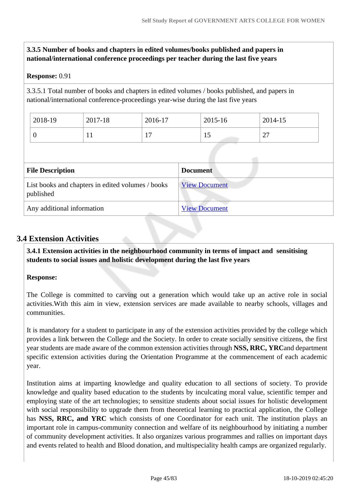#### **3.3.5 Number of books and chapters in edited volumes/books published and papers in national/international conference proceedings per teacher during the last five years**

#### **Response:** 0.91

3.3.5.1 Total number of books and chapters in edited volumes / books published, and papers in national/international conference-proceedings year-wise during the last five years

| 2018-19 | 2017-18 | 2016-17               | 2015-16 | 2014-15     |  |
|---------|---------|-----------------------|---------|-------------|--|
|         | . .     | $\overline{ }$<br>л., |         | $\sim$<br>∠ |  |

| <b>File Description</b>                                        | <b>Document</b>      |
|----------------------------------------------------------------|----------------------|
| List books and chapters in edited volumes / books<br>published | <b>View Document</b> |
| Any additional information                                     | <b>View Document</b> |

## **3.4 Extension Activities**

 **3.4.1 Extension activities in the neighbourhood community in terms of impact and sensitising students to social issues and holistic development during the last five years**

#### **Response:**

The College is committed to carving out a generation which would take up an active role in social activities.With this aim in view, extension services are made available to nearby schools, villages and communities.

It is mandatory for a student to participate in any of the extension activities provided by the college which provides a link between the College and the Society. In order to create socially sensitive citizens, the first year students are made aware of the common extension activities through **NSS, RRC, YRC**and department specific extension activities during the Orientation Programme at the commencement of each academic year.

Institution aims at imparting knowledge and quality education to all sections of society. To provide knowledge and quality based education to the students by inculcating moral value, scientific temper and employing state of the art technologies; to sensitize students about social issues for holistic development with social responsibility to upgrade them from theoretical learning to practical application, the College has **NSS, RRC, and YRC** which consists of one Coordinator for each unit. The institution plays an important role in campus-community connection and welfare of its neighbourhood by initiating a number of community development activities. It also organizes various programmes and rallies on important days and events related to health and Blood donation, and multispeciality health camps are organized regularly.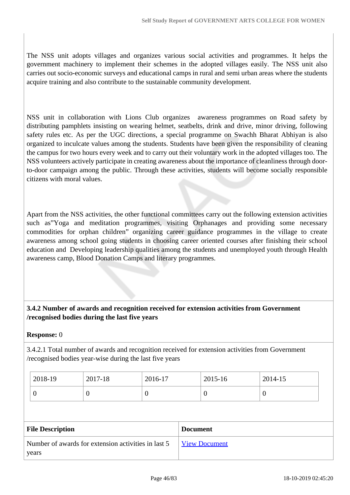The NSS unit adopts villages and organizes various social activities and programmes. It helps the government machinery to implement their schemes in the adopted villages easily. The NSS unit also carries out socio-economic surveys and educational camps in rural and semi urban areas where the students acquire training and also contribute to the sustainable community development.

NSS unit in collaboration with Lions Club organizes awareness programmes on Road safety by distributing pamphlets insisting on wearing helmet, seatbelts, drink and drive, minor driving, following safety rules etc. As per the UGC directions, a special programme on Swachh Bharat Abhiyan is also organized to inculcate values among the students. Students have been given the responsibility of cleaning the campus for two hours every week and to carry out their voluntary work in the adopted villages too. The NSS volunteers actively participate in creating awareness about the importance of cleanliness through doorto-door campaign among the public. Through these activities, students will become socially responsible citizens with moral values.

Apart from the NSS activities, the other functional committees carry out the following extension activities such as"Yoga and meditation programmes, visiting Orphanages and providing some necessary commodities for orphan children" organizing career guidance programmes in the village to create awareness among school going students in choosing career oriented courses after finishing their school education and Developing leadership qualities among the students and unemployed youth through Health awareness camp, Blood Donation Camps and literary programmes.

## **3.4.2 Number of awards and recognition received for extension activities from Government /recognised bodies during the last five years**

#### **Response:** 0

3.4.2.1 Total number of awards and recognition received for extension activities from Government /recognised bodies year-wise during the last five years

| 2018-19 | 2017-18 | 2016-17 | 2015-16 | 2014-15 |
|---------|---------|---------|---------|---------|
| ν       |         | ν       |         |         |

| <b>File Description</b>                             | <b>Document</b>      |
|-----------------------------------------------------|----------------------|
| Number of awards for extension activities in last 5 | <b>View Document</b> |
| years                                               |                      |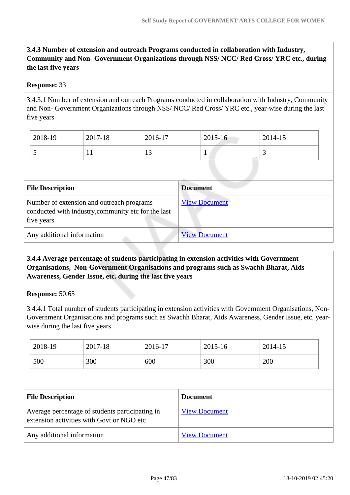## **3.4.3 Number of extension and outreach Programs conducted in collaboration with Industry, Community and Non- Government Organizations through NSS/ NCC/ Red Cross/ YRC etc., during the last five years**

## **Response:** 33

3.4.3.1 Number of extension and outreach Programs conducted in collaboration with Industry, Community and Non- Government Organizations through NSS/ NCC/ Red Cross/ YRC etc., year-wise during the last five years

| 2018-19 | 2017-18 | 2016-17        | $2015 - 16$ | 2014-15  |
|---------|---------|----------------|-------------|----------|
| $\sim$  | T T     | 1 <sub>2</sub> |             | <u>ب</u> |

| <b>File Description</b>                                                                                        | <b>Document</b>      |
|----------------------------------------------------------------------------------------------------------------|----------------------|
| Number of extension and outreach programs<br>conducted with industry, community etc for the last<br>five years | <b>View Document</b> |
| Any additional information                                                                                     | <b>View Document</b> |

 **3.4.4 Average percentage of students participating in extension activities with Government Organisations, Non-Government Organisations and programs such as Swachh Bharat, Aids Awareness, Gender Issue, etc. during the last five years**

#### **Response:** 50.65

3.4.4.1 Total number of students participating in extension activities with Government Organisations, Non-Government Organisations and programs such as Swachh Bharat, Aids Awareness, Gender Issue, etc. yearwise during the last five years

| 2018-19 | 2017-18 | 2016-17 | 2015-16 | 2014-15 |
|---------|---------|---------|---------|---------|
| 500     | 300     | 600     | 300     | 200     |

| <b>File Description</b>                                                                      | <b>Document</b>      |
|----------------------------------------------------------------------------------------------|----------------------|
| Average percentage of students participating in<br>extension activities with Govt or NGO etc | <b>View Document</b> |
| Any additional information                                                                   | <b>View Document</b> |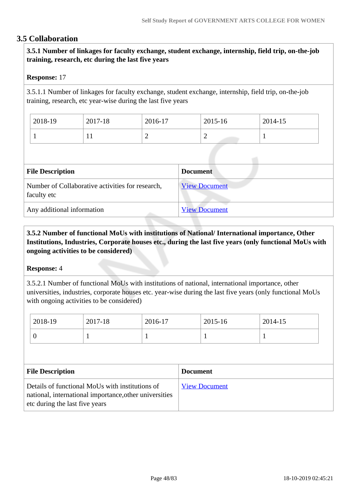## **3.5 Collaboration**

 **3.5.1 Number of linkages for faculty exchange, student exchange, internship, field trip, on-the-job training, research, etc during the last five years**

#### **Response:** 17

3.5.1.1 Number of linkages for faculty exchange, student exchange, internship, field trip, on-the-job training, research, etc year-wise during the last five years

| 2018-19 | 2017-18      | 2016-17 | 2015-16 | 2014-15  |
|---------|--------------|---------|---------|----------|
|         | $\mathbf{r}$ | ∼       | -       | <b>.</b> |

| <b>File Description</b>                                         | <b>Document</b>      |
|-----------------------------------------------------------------|----------------------|
| Number of Collaborative activities for research,<br>faculty etc | <b>View Document</b> |
| Any additional information                                      | <b>View Document</b> |

## **3.5.2 Number of functional MoUs with institutions of National/ International importance, Other Institutions, Industries, Corporate houses etc., during the last five years (only functional MoUs with ongoing activities to be considered)**

#### **Response:** 4

3.5.2.1 Number of functional MoUs with institutions of national, international importance, other universities, industries, corporate houses etc. year-wise during the last five years (only functional MoUs with ongoing activities to be considered)

| 2018-19                                    | 2017-18 | 2016-17 |  | 2015-16 | 2014-15 |
|--------------------------------------------|---------|---------|--|---------|---------|
| $\theta$                                   |         |         |  |         |         |
|                                            |         |         |  |         |         |
| <b>File Description</b><br><b>Document</b> |         |         |  |         |         |
|                                            |         |         |  |         |         |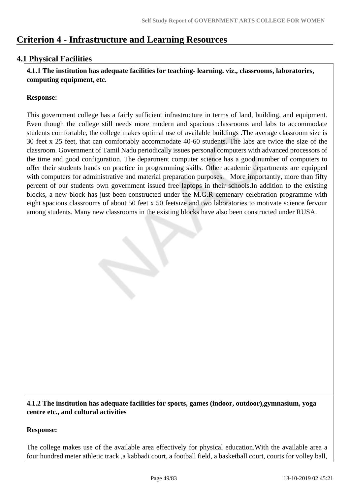# **Criterion 4 - Infrastructure and Learning Resources**

## **4.1 Physical Facilities**

 **4.1.1 The institution has adequate facilities for teaching- learning. viz., classrooms, laboratories, computing equipment, etc.**

## **Response:**

This government college has a fairly sufficient infrastructure in terms of land, building, and equipment. Even though the college still needs more modern and spacious classrooms and labs to accommodate students comfortable, the college makes optimal use of available buildings .The average classroom size is 30 feet x 25 feet, that can comfortably accommodate 40-60 students. The labs are twice the size of the classroom. Government of Tamil Nadu periodically issues personal computers with advanced processors of the time and good configuration. The department computer science has a good number of computers to offer their students hands on practice in programming skills. Other academic departments are equipped with computers for administrative and material preparation purposes. More importantly, more than fifty percent of our students own government issued free laptops in their schools.In addition to the existing blocks, a new block has just been constructed under the M.G.R centenary celebration programme with eight spacious classrooms of about 50 feet x 50 feetsize and two laboratories to motivate science fervour among students. Many new classrooms in the existing blocks have also been constructed under RUSA.

## **4.1.2 The institution has adequate facilities for sports, games (indoor, outdoor),gymnasium, yoga centre etc., and cultural activities**

#### **Response:**

The college makes use of the available area effectively for physical education.With the available area a four hundred meter athletic track ,a kabbadi court, a football field, a basketball court, courts for volley ball,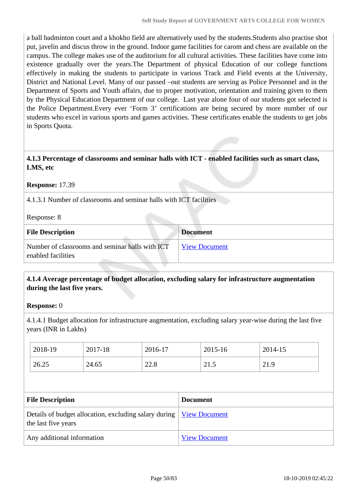a ball badminton court and a khokho field are alternatively used by the students.Students also practise shot put, javelin and discus throw in the ground. Indoor game facilities for carom and chess are available on the campus. The college makes use of the auditorium for all cultural activities. These facilities have come into existence gradually over the years.The Department of physical Education of our college functions effectively in making the students to participate in various Track and Field events at the University, District and National Level. Many of our passed –out students are serving as Police Personnel and in the Department of Sports and Youth affairs, due to proper motivation, orientation and training given to them by the Physical Education Department of our college. Last year alone four of our students got selected is the Police Department.Every ever 'Form 3' certifications are being secured by more number of our students who excel in various sports and games activities. These certificates enable the students to get jobs in Sports Quota.

#### **4.1.3 Percentage of classrooms and seminar halls with ICT - enabled facilities such as smart class, LMS, etc**

#### **Response:** 17.39

4.1.3.1 Number of classrooms and seminar halls with ICT facilities

#### Response: 8

| <b>File Description</b>                                               | <b>Document</b>      |
|-----------------------------------------------------------------------|----------------------|
| Number of classrooms and seminar halls with ICT<br>enabled facilities | <b>View Document</b> |

## **4.1.4 Average percentage of budget allocation, excluding salary for infrastructure augmentation during the last five years.**

#### **Response:** 0

4.1.4.1 Budget allocation for infrastructure augmentation, excluding salary year-wise during the last five years (INR in Lakhs)

| 2018-19 | 2017-18 | 2016-17 | 2015-16      | 2014-15 |
|---------|---------|---------|--------------|---------|
| 26.25   | 24.65   | 22.8    | 21<br>ل دیکھ | 21.9    |

| <b>File Description</b>                                                                             | <b>Document</b>      |
|-----------------------------------------------------------------------------------------------------|----------------------|
| Details of budget allocation, excluding salary during   <u>View Document</u><br>the last five years |                      |
| Any additional information                                                                          | <b>View Document</b> |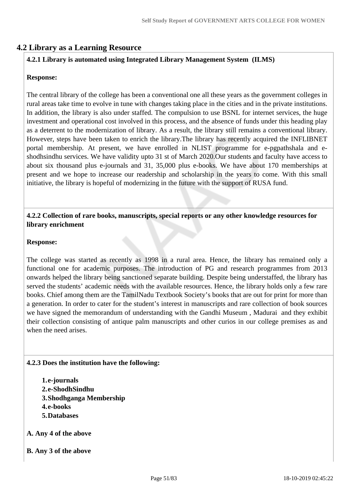## **4.2 Library as a Learning Resource**

## **4.2.1 Library is automated using Integrated Library Management System (ILMS)**

#### **Response:**

The central library of the college has been a conventional one all these years as the government colleges in rural areas take time to evolve in tune with changes taking place in the cities and in the private institutions. In addition, the library is also under staffed. The compulsion to use BSNL for internet services, the huge investment and operational cost involved in this process, and the absence of funds under this heading play as a deterrent to the modernization of library. As a result, the library still remains a conventional library. However, steps have been taken to enrich the library.The library has recently acquired the INFLIBNET portal membership. At present, we have enrolled in NLIST programme for e-pgpathshala and eshodhsindhu services. We have validity upto 31 st of March 2020.Our students and faculty have access to about six thousand plus e-journals and 31, 35,000 plus e-books. We have about 170 memberships at present and we hope to increase our readership and scholarship in the years to come. With this small initiative, the library is hopeful of modernizing in the future with the support of RUSA fund.

#### **4.2.2 Collection of rare books, manuscripts, special reports or any other knowledge resources for library enrichment**

#### **Response:**

The college was started as recently as 1998 in a rural area. Hence, the library has remained only a functional one for academic purposes. The introduction of PG and research programmes from 2013 onwards helped the library being sanctioned separate building. Despite being understaffed, the library has served the students' academic needs with the available resources. Hence, the library holds only a few rare books. Chief among them are the TamilNadu Textbook Society's books that are out for print for more than a generation. In order to cater for the student's interest in manuscripts and rare collection of book sources we have signed the memorandum of understanding with the Gandhi Museum , Madurai and they exhibit their collection consisting of antique palm manuscripts and other curios in our college premises as and when the need arises.

#### **4.2.3 Does the institution have the following:**

- **1.e-journals 2.e-ShodhSindhu 3.Shodhganga Membership 4.e-books 5.Databases**
- **A. Any 4 of the above**
- **B. Any 3 of the above**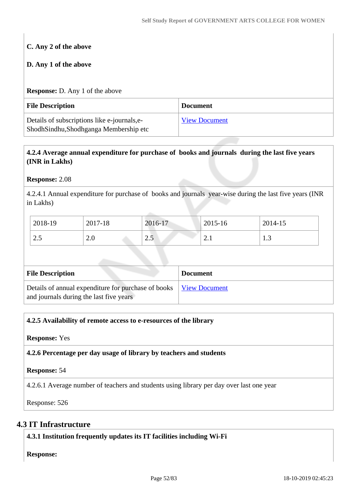# **C. Any 2 of the above**

## **D. Any 1 of the above**

#### **Response:** D. Any 1 of the above

| <b>File Description</b>                                                               | <b>Document</b>      |
|---------------------------------------------------------------------------------------|----------------------|
| Details of subscriptions like e-journals, e-<br>ShodhSindhu,Shodhganga Membership etc | <b>View Document</b> |

## **4.2.4 Average annual expenditure for purchase of books and journals during the last five years (INR in Lakhs)**

## **Response:** 2.08

4.2.4.1 Annual expenditure for purchase of books and journals year-wise during the last five years (INR in Lakhs)

| 2018-19 | 2017-18                             | 2016-17                    | 2015-16                    | 2014-15       |
|---------|-------------------------------------|----------------------------|----------------------------|---------------|
| ن. ۷    | ⌒ ∩<br>$\mathcal{L}$ . $\mathbf{U}$ | $\bigcap$ $\bigcup$<br>ن ک | $\sim$<br>$\overline{a}$ . | $\cdot \cdot$ |

| <b>File Description</b>                                                                        | <b>Document</b> |
|------------------------------------------------------------------------------------------------|-----------------|
| Details of annual expenditure for purchase of books<br>and journals during the last five years | View Document   |

## **4.2.5 Availability of remote access to e-resources of the library**

#### **Response:** Yes

**4.2.6 Percentage per day usage of library by teachers and students**

#### **Response:** 54

4.2.6.1 Average number of teachers and students using library per day over last one year

Response: 526

## **4.3 IT Infrastructure**

**4.3.1 Institution frequently updates its IT facilities including Wi-Fi**

**Response:**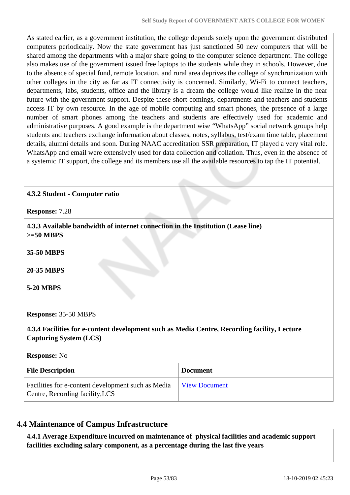As stated earlier, as a government institution, the college depends solely upon the government distributed computers periodically. Now the state government has just sanctioned 50 new computers that will be shared among the departments with a major share going to the computer science department. The college also makes use of the government issued free laptops to the students while they in schools. However, due to the absence of special fund, remote location, and rural area deprives the college of synchronization with other colleges in the city as far as IT connectivity is concerned. Similarly, Wi-Fi to connect teachers, departments, labs, students, office and the library is a dream the college would like realize in the near future with the government support. Despite these short comings, departments and teachers and students access IT by own resource. In the age of mobile computing and smart phones, the presence of a large number of smart phones among the teachers and students are effectively used for academic and administrative purposes. A good example is the department wise "WhatsApp" social network groups help students and teachers exchange information about classes, notes, syllabus, test/exam time table, placement details, alumni details and soon. During NAAC accreditation SSR preparation, IT played a very vital role. WhatsApp and email were extensively used for data collection and collation. Thus, even in the absence of a systemic IT support, the college and its members use all the available resources to tap the IT potential.

## **4.3.2 Student - Computer ratio**

**Response:** 7.28

 **4.3.3 Available bandwidth of internet connection in the Institution (Lease line) >=50 MBPS**

**35-50 MBPS**

**20-35 MBPS**

**5-20 MBPS**

#### **Response:** 35-50 MBPS

 **4.3.4 Facilities for e-content development such as Media Centre, Recording facility, Lecture Capturing System (LCS)**

**Response:** No

| <b>File Description</b>                                                               | <b>Document</b> |
|---------------------------------------------------------------------------------------|-----------------|
| Facilities for e-content development such as Media<br>Centre, Recording facility, LCS | View Document   |

## **4.4 Maintenance of Campus Infrastructure**

 **4.4.1 Average Expenditure incurred on maintenance of physical facilities and academic support facilities excluding salary component, as a percentage during the last five years**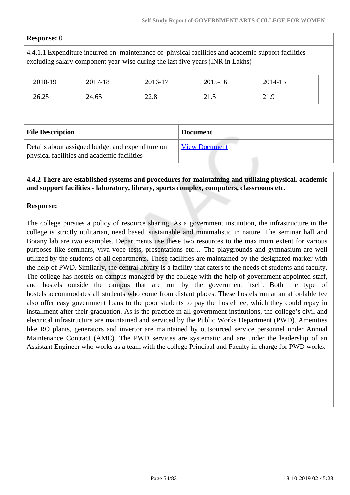#### **Response:** 0

4.4.1.1 Expenditure incurred on maintenance of physical facilities and academic support facilities excluding salary component year-wise during the last five years (INR in Lakhs)

| 2018-19                 | 2017-18 | 2016-17 |                 | 2015-16 | 2014-15 |
|-------------------------|---------|---------|-----------------|---------|---------|
| 26.25                   | 24.65   | 22.8    |                 | 21.5    | 21.9    |
|                         |         |         |                 |         |         |
|                         |         |         |                 |         |         |
| <b>File Description</b> |         |         | <b>Document</b> |         |         |

## **4.4.2 There are established systems and procedures for maintaining and utilizing physical, academic and support facilities - laboratory, library, sports complex, computers, classrooms etc.**

#### **Response:**

The college pursues a policy of resource sharing. As a government institution, the infrastructure in the college is strictly utilitarian, need based, sustainable and minimalistic in nature. The seminar hall and Botany lab are two examples. Departments use these two resources to the maximum extent for various purposes like seminars, viva voce tests, presentations etc… The playgrounds and gymnasium are well utilized by the students of all departments. These facilities are maintained by the designated marker with the help of PWD. Similarly, the central library is a facility that caters to the needs of students and faculty. The college has hostels on campus managed by the college with the help of government appointed staff, and hostels outside the campus that are run by the government itself. Both the type of hostels accommodates all students who come from distant places. These hostels run at an affordable fee also offer easy government loans to the poor students to pay the hostel fee, which they could repay in installment after their graduation. As is the practice in all government institutions, the college's civil and electrical infrastructure are maintained and serviced by the Public Works Department (PWD). Amenities like RO plants, generators and invertor are maintained by outsourced service personnel under Annual Maintenance Contract (AMC). The PWD services are systematic and are under the leadership of an Assistant Engineer who works as a team with the college Principal and Faculty in charge for PWD works.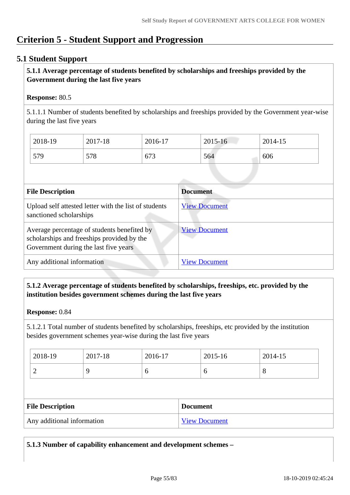# **Criterion 5 - Student Support and Progression**

## **5.1 Student Support**

## **5.1.1 Average percentage of students benefited by scholarships and freeships provided by the Government during the last five years**

## **Response:** 80.5

5.1.1.1 Number of students benefited by scholarships and freeships provided by the Government year-wise during the last five years

| 2018-19 | 2017-18 | 2016-17 | $2015 - 16$ | 2014-15 |
|---------|---------|---------|-------------|---------|
| 579     | 578     | 673     | 564         | 606     |

| <b>File Description</b>                                                                                                            | <b>Document</b>      |
|------------------------------------------------------------------------------------------------------------------------------------|----------------------|
| Upload self attested letter with the list of students<br>sanctioned scholarships                                                   | <b>View Document</b> |
| Average percentage of students benefited by<br>scholarships and freeships provided by the<br>Government during the last five years | <b>View Document</b> |
| Any additional information                                                                                                         | <b>View Document</b> |

## **5.1.2 Average percentage of students benefited by scholarships, freeships, etc. provided by the institution besides government schemes during the last five years**

#### **Response:** 0.84

5.1.2.1 Total number of students benefited by scholarships, freeships, etc provided by the institution besides government schemes year-wise during the last five years

| 2018-19 | 2017-18 | 2016-17 | 2015-16 | 2014-15 |
|---------|---------|---------|---------|---------|
| ∼       |         | ິ       | O       | $\circ$ |

| <b>File Description</b>    | <b>Document</b>      |
|----------------------------|----------------------|
| Any additional information | <b>View Document</b> |

**5.1.3 Number of capability enhancement and development schemes –**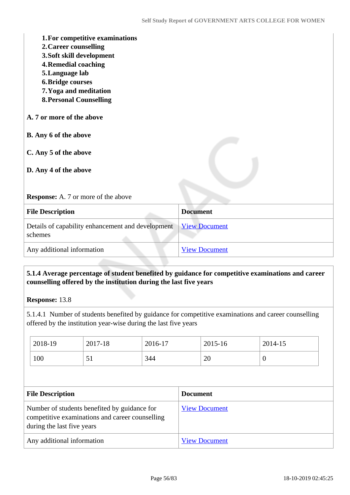| 1. For competitive examinations<br>2. Career counselling<br>3. Soft skill development<br><b>4. Remedial coaching</b><br>5. Language lab<br><b>6. Bridge courses</b><br>7. Yoga and meditation<br><b>8. Personal Counselling</b> |                      |
|---------------------------------------------------------------------------------------------------------------------------------------------------------------------------------------------------------------------------------|----------------------|
| A. 7 or more of the above                                                                                                                                                                                                       |                      |
| <b>B.</b> Any 6 of the above                                                                                                                                                                                                    |                      |
| C. Any 5 of the above                                                                                                                                                                                                           |                      |
| D. Any 4 of the above                                                                                                                                                                                                           |                      |
| <b>Response:</b> A. 7 or more of the above                                                                                                                                                                                      |                      |
| <b>File Description</b>                                                                                                                                                                                                         | <b>Document</b>      |
| Details of capability enhancement and development<br>schemes                                                                                                                                                                    | <b>View Document</b> |
| Any additional information                                                                                                                                                                                                      | <b>View Document</b> |

## **5.1.4 Average percentage of student benefited by guidance for competitive examinations and career counselling offered by the institution during the last five years**

**Response:** 13.8

5.1.4.1 Number of students benefited by guidance for competitive examinations and career counselling offered by the institution year-wise during the last five years

| 2018-19                                                                                                                       | 2017-18 | 2016-17 |                      | 2015-16 | 2014-15  |
|-------------------------------------------------------------------------------------------------------------------------------|---------|---------|----------------------|---------|----------|
| 100                                                                                                                           | 51      | 344     |                      | 20      | $\theta$ |
|                                                                                                                               |         |         |                      |         |          |
| <b>File Description</b>                                                                                                       |         |         | <b>Document</b>      |         |          |
| Number of students benefited by guidance for<br>competitive examinations and career counselling<br>during the last five years |         |         | <b>View Document</b> |         |          |
|                                                                                                                               |         |         |                      |         |          |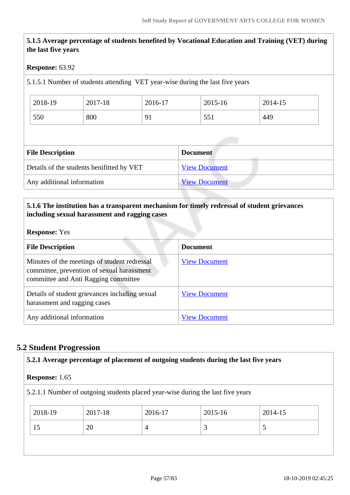## **5.1.5 Average percentage of students benefited by Vocational Education and Training (VET) during the last five years**

#### **Response:** 63.92

5.1.5.1 Number of students attending VET year-wise during the last five years

| 2018-19 | 2017-18 | 2016-17                          | 2015-16 | 2014-15 |
|---------|---------|----------------------------------|---------|---------|
| 550     | 800     | Q <sub>1</sub><br>$\overline{1}$ | 551     | 449     |

| <b>File Description</b>                   | <b>Document</b>      |
|-------------------------------------------|----------------------|
| Details of the students benifitted by VET | <b>View Document</b> |
| Any additional information                | <b>View Document</b> |

## **5.1.6 The institution has a transparent mechanism for timely redressal of student grievances including sexual harassment and ragging cases**

#### **Response:** Yes

| <b>File Description</b>                                                                                                            | <b>Document</b>      |
|------------------------------------------------------------------------------------------------------------------------------------|----------------------|
| Minutes of the meetings of student redressal<br>committee, prevention of sexual harassment<br>committee and Anti Ragging committee | <b>View Document</b> |
| Details of student grievances including sexual<br>harassment and ragging cases                                                     | <b>View Document</b> |
| Any additional information                                                                                                         | <b>View Document</b> |

## **5.2 Student Progression**

| <b>Response:</b> 1.65 |         |                                                                                 |             |         |
|-----------------------|---------|---------------------------------------------------------------------------------|-------------|---------|
|                       |         | 5.2.1.1 Number of outgoing students placed year-wise during the last five years |             |         |
| 2018-19               | 2017-18 | 2016-17                                                                         | $2015 - 16$ | 2014-15 |
| 15                    | 20      | $\overline{4}$                                                                  | 3           | 5       |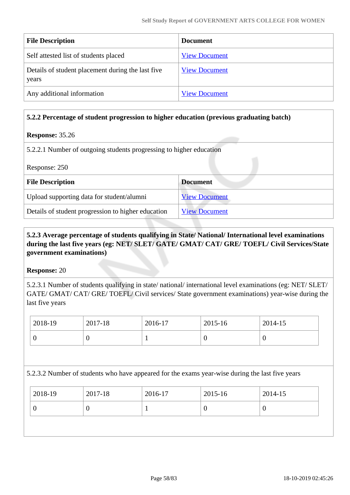| <b>File Description</b>                                    | <b>Document</b>      |
|------------------------------------------------------------|----------------------|
| Self attested list of students placed                      | <b>View Document</b> |
| Details of student placement during the last five<br>years | <b>View Document</b> |
| Any additional information                                 | <b>View Document</b> |

#### **5.2.2 Percentage of student progression to higher education (previous graduating batch)**

#### **Response:** 35.26

5.2.2.1 Number of outgoing students progressing to higher education

| Response: 250                                      |                      |  |
|----------------------------------------------------|----------------------|--|
| <b>File Description</b>                            | <b>Document</b>      |  |
| Upload supporting data for student/alumni          | <b>View Document</b> |  |
| Details of student progression to higher education | <b>View Document</b> |  |

## **5.2.3 Average percentage of students qualifying in State/ National/ International level examinations during the last five years (eg: NET/ SLET/ GATE/ GMAT/ CAT/ GRE/ TOEFL/ Civil Services/State government examinations)**

#### **Response:** 20

5.2.3.1 Number of students qualifying in state/ national/ international level examinations (eg: NET/ SLET/ GATE/ GMAT/ CAT/ GRE/ TOEFL/ Civil services/ State government examinations) year-wise during the last five years

| $12018-19$ | 2017-18 | 2016-17 | 2015-16 | 2014-15 |
|------------|---------|---------|---------|---------|
|            |         |         |         | U       |

5.2.3.2 Number of students who have appeared for the exams year-wise during the last five years

| $ 2018-19\rangle$ | 2017-18 | 2016-17 | $2015 - 16$ | 2014-15 |
|-------------------|---------|---------|-------------|---------|
|                   | U       |         |             |         |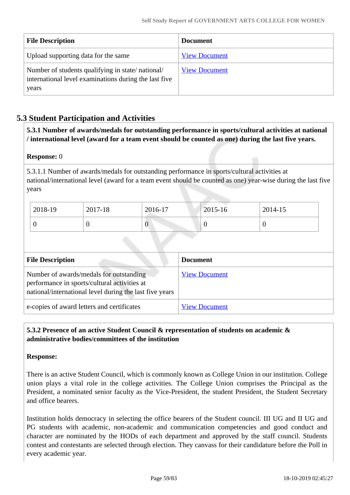| <b>File Description</b>                                                                                            | <b>Document</b>      |
|--------------------------------------------------------------------------------------------------------------------|----------------------|
| Upload supporting data for the same                                                                                | <b>View Document</b> |
| Number of students qualifying in state/national/<br>international level examinations during the last five<br>years | <b>View Document</b> |

## **5.3 Student Participation and Activities**

 **5.3.1 Number of awards/medals for outstanding performance in sports/cultural activities at national / international level (award for a team event should be counted as one) during the last five years.**

#### **Response:** 0

5.3.1.1 Number of awards/medals for outstanding performance in sports/cultural activities at national/international level (award for a team event should be counted as one) year-wise during the last five years

| 2018-19 | 2017-18 | 2016-17          | 2015-16 | 2014-15 |
|---------|---------|------------------|---------|---------|
|         |         | $\boldsymbol{0}$ |         |         |

| <b>File Description</b>                                                                                                                            | <b>Document</b>      |
|----------------------------------------------------------------------------------------------------------------------------------------------------|----------------------|
| Number of awards/medals for outstanding<br>performance in sports/cultural activities at<br>national/international level during the last five years | <b>View Document</b> |
| e-copies of award letters and certificates                                                                                                         | <b>View Document</b> |

## **5.3.2 Presence of an active Student Council & representation of students on academic & administrative bodies/committees of the institution**

#### **Response:**

There is an active Student Council, which is commonly known as College Union in our institution. College union plays a vital role in the college activities. The College Union comprises the Principal as the President, a nominated senior faculty as the Vice-President, the student President, the Student Secretary and office bearers.

Institution holds democracy in selecting the office bearers of the Student council. III UG and II UG and PG students with academic, non-academic and communication competencies and good conduct and character are nominated by the HODs of each department and approved by the staff council. Students contest and contestants are selected through election. They canvass for their candidature before the Poll in every academic year.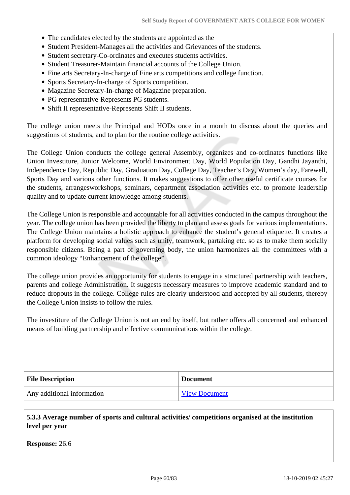- The candidates elected by the students are appointed as the
- Student President-Manages all the activities and Grievances of the students.
- Student secretary-Co-ordinates and executes students activities.
- Student Treasurer-Maintain financial accounts of the College Union.
- Fine arts Secretary-In-charge of Fine arts competitions and college function.
- Sports Secretary-In-charge of Sports competition.
- Magazine Secretary-In-charge of Magazine preparation.
- PG representative-Represents PG students.
- Shift II representative-Represents Shift II students.

The college union meets the Principal and HODs once in a month to discuss about the queries and suggestions of students, and to plan for the routine college activities.

The College Union conducts the college general Assembly, organizes and co-ordinates functions like Union Investiture, Junior Welcome, World Environment Day, World Population Day, Gandhi Jayanthi, Independence Day, Republic Day, Graduation Day, College Day, Teacher's Day, Women's day, Farewell, Sports Day and various other functions. It makes suggestions to offer other useful certificate courses for the students, arrangesworkshops, seminars, department association activities etc. to promote leadership quality and to update current knowledge among students.

The College Union is responsible and accountable for all activities conducted in the campus throughout the year. The college union has been provided the liberty to plan and assess goals for various implementations. The College Union maintains a holistic approach to enhance the student's general etiquette. It creates a platform for developing social values such as unity, teamwork, partaking etc. so as to make them socially responsible citizens. Being a part of governing body, the union harmonizes all the committees with a common ideology "Enhancement of the college".

The college union provides an opportunity for students to engage in a structured partnership with teachers, parents and college Administration. It suggests necessary measures to improve academic standard and to reduce dropouts in the college. College rules are clearly understood and accepted by all students, thereby the College Union insists to follow the rules.

The investiture of the College Union is not an end by itself, but rather offers all concerned and enhanced means of building partnership and effective communications within the college.

| <b>File Description</b>    | <b>Document</b>      |
|----------------------------|----------------------|
| Any additional information | <b>View Document</b> |

 **5.3.3 Average number of sports and cultural activities/ competitions organised at the institution level per year**

**Response:** 26.6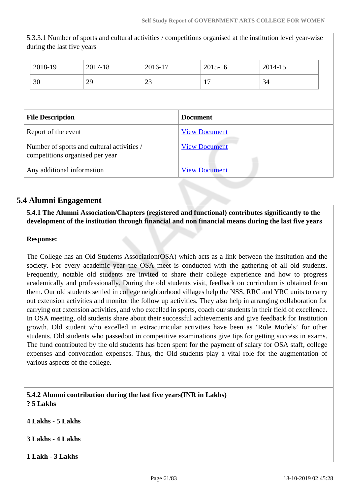5.3.3.1 Number of sports and cultural activities / competitions organised at the institution level year-wise during the last five years

|                                                                               | 2018-19 | 2017-18              | 2016-17              |                      | 2015-16 | 2014-15 |
|-------------------------------------------------------------------------------|---------|----------------------|----------------------|----------------------|---------|---------|
|                                                                               | 30      | 29                   | 23                   |                      | 17      | 34      |
|                                                                               |         |                      |                      |                      |         |         |
| <b>File Description</b>                                                       |         |                      | <b>Document</b>      |                      |         |         |
| Report of the event                                                           |         |                      | <b>View Document</b> |                      |         |         |
| Number of sports and cultural activities /<br>competitions organised per year |         | <b>View Document</b> |                      |                      |         |         |
| Any additional information                                                    |         |                      |                      | <b>View Document</b> |         |         |

## **5.4 Alumni Engagement**

## **5.4.1 The Alumni Association/Chapters (registered and functional) contributes significantly to the development of the institution through financial and non financial means during the last five years**

## **Response:**

The College has an Old Students Association(OSA) which acts as a link between the institution and the society. For every academic year the OSA meet is conducted with the gathering of all old students. Frequently, notable old students are invited to share their college experience and how to progress academically and professionally. During the old students visit, feedback on curriculum is obtained from them. Our old students settled in college neighborhood villages help the NSS, RRC and YRC units to carry out extension activities and monitor the follow up activities. They also help in arranging collaboration for carrying out extension activities, and who excelled in sports, coach our students in their field of excellence. In OSA meeting, old students share about their successful achievements and give feedback for Institution growth. Old student who excelled in extracurricular activities have been as 'Role Models' for other students. Old students who passedout in competitive examinations give tips for getting success in exams. The fund contributed by the old students has been spent for the payment of salary for OSA staff, college expenses and convocation expenses. Thus, the Old students play a vital role for the augmentation of various aspects of the college.

 **5.4.2 Alumni contribution during the last five years(INR in Lakhs) ? 5 Lakhs**

**4 Lakhs - 5 Lakhs**

**3 Lakhs - 4 Lakhs**

**1 Lakh - 3 Lakhs**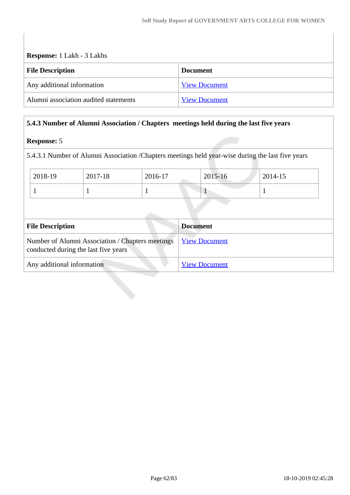| <b>Response:</b> 1 Lakh - 3 Lakhs     |                      |  |  |
|---------------------------------------|----------------------|--|--|
| <b>File Description</b>               | <b>Document</b>      |  |  |
| Any additional information            | <b>View Document</b> |  |  |
| Alumni association audited statements | <b>View Document</b> |  |  |

## **5.4.3 Number of Alumni Association / Chapters meetings held during the last five years**

#### **Response:** 5

5.4.3.1 Number of Alumni Association /Chapters meetings held year-wise during the last five years

| 2018-19                                                                                  | 2017-18 | 2016-17 | 2015-16              | 2014-15 |  |
|------------------------------------------------------------------------------------------|---------|---------|----------------------|---------|--|
|                                                                                          |         |         |                      |         |  |
|                                                                                          |         |         |                      |         |  |
|                                                                                          |         |         |                      |         |  |
| <b>File Description</b>                                                                  |         |         | <b>Document</b>      |         |  |
| Number of Alumni Association / Chapters meetings<br>conducted during the last five years |         |         | <b>View Document</b> |         |  |
| Any additional information                                                               |         |         | <b>View Document</b> |         |  |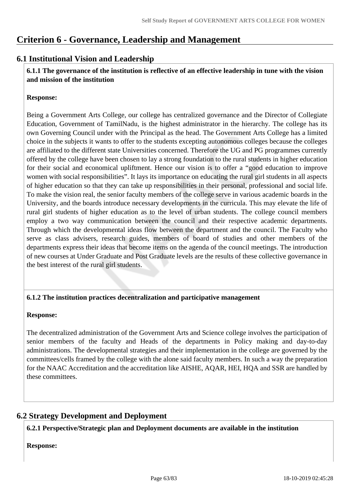# **Criterion 6 - Governance, Leadership and Management**

## **6.1 Institutional Vision and Leadership**

 **6.1.1 The governance of the institution is reflective of an effective leadership in tune with the vision and mission of the institution**

#### **Response:**

Being a Government Arts College, our college has centralized governance and the Director of Collegiate Education, Government of TamilNadu, is the highest administrator in the hierarchy. The college has its own Governing Council under with the Principal as the head. The Government Arts College has a limited choice in the subjects it wants to offer to the students excepting autonomous colleges because the colleges are affiliated to the different state Universities concerned. Therefore the UG and PG programmes currently offered by the college have been chosen to lay a strong foundation to the rural students in higher education for their social and economical upliftment. Hence our vision is to offer a "good education to improve women with social responsibilities". It lays its importance on educating the rural girl students in all aspects of higher education so that they can take up responsibilities in their personal, professional and social life. To make the vision real, the senior faculty members of the college serve in various academic boards in the University, and the boards introduce necessary developments in the curricula. This may elevate the life of rural girl students of higher education as to the level of urban students. The college council members employ a two way communication between the council and their respective academic departments. Through which the developmental ideas flow between the department and the council. The Faculty who serve as class advisers, research guides, members of board of studies and other members of the departments express their ideas that become items on the agenda of the council meetings. The introduction of new courses at Under Graduate and Post Graduate levels are the results of these collective governance in the best interest of the rural girl students.

## **6.1.2 The institution practices decentralization and participative management**

#### **Response:**

The decentralized administration of the Government Arts and Science college involves the participation of senior members of the faculty and Heads of the departments in Policy making and day-to-day administrations. The developmental strategies and their implementation in the college are governed by the committees/cells framed by the college with the alone said faculty members. In such a way the preparation for the NAAC Accreditation and the accreditation like AISHE, AQAR, HEI, HQA and SSR are handled by these committees.

## **6.2 Strategy Development and Deployment**

**6.2.1 Perspective/Strategic plan and Deployment documents are available in the institution**

**Response:**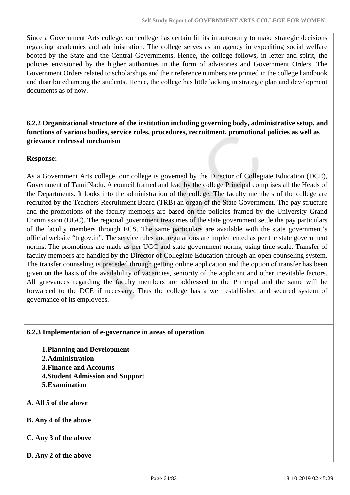Since a Government Arts college, our college has certain limits in autonomy to make strategic decisions regarding academics and administration. The college serves as an agency in expediting social welfare booted by the State and the Central Governments. Hence, the college follows, in letter and spirit, the policies envisioned by the higher authorities in the form of advisories and Government Orders. The Government Orders related to scholarships and their reference numbers are printed in the college handbook and distributed among the students. Hence, the college has little lacking in strategic plan and development documents as of now.

 **6.2.2 Organizational structure of the institution including governing body, administrative setup, and functions of various bodies, service rules, procedures, recruitment, promotional policies as well as grievance redressal mechanism**

#### **Response:**

As a Government Arts college, our college is governed by the Director of Collegiate Education (DCE), Government of TamilNadu. A council framed and lead by the college Principal comprises all the Heads of the Departments. It looks into the administration of the college. The faculty members of the college are recruited by the Teachers Recruitment Board (TRB) an organ of the State Government. The pay structure and the promotions of the faculty members are based on the policies framed by the University Grand Commission (UGC). The regional government treasuries of the state government settle the pay particulars of the faculty members through ECS. The same particulars are available with the state government's official website "tngov.in". The service rules and regulations are implemented as per the state government norms. The promotions are made as per UGC and state government norms, using time scale. Transfer of faculty members are handled by the Director of Collegiate Education through an open counseling system. The transfer counseling is preceded through getting online application and the option of transfer has been given on the basis of the availability of vacancies, seniority of the applicant and other inevitable factors. All grievances regarding the faculty members are addressed to the Principal and the same will be forwarded to the DCE if necessary. Thus the college has a well established and secured system of governance of its employees.

#### **6.2.3 Implementation of e-governance in areas of operation**

- **1.Planning and Development**
- **2.Administration**
- **3.Finance and Accounts**
- **4.Student Admission and Support**
- **5.Examination**
- **A. All 5 of the above**
- **B. Any 4 of the above**
- **C. Any 3 of the above**
- **D. Any 2 of the above**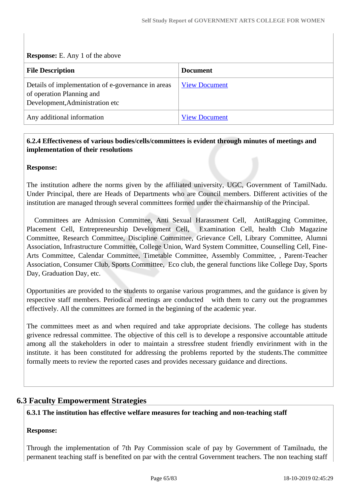**Response:** E. Any 1 of the above

| <b>File Description</b>                                                                                            | <b>Document</b>      |
|--------------------------------------------------------------------------------------------------------------------|----------------------|
| Details of implementation of e-governance in areas<br>of operation Planning and<br>Development, Administration etc | <b>View Document</b> |
| Any additional information                                                                                         | <b>View Document</b> |

## **6.2.4 Effectiveness of various bodies/cells/committees is evident through minutes of meetings and implementation of their resolutions**

**Response:** 

The institution adhere the norms given by the affiliated university, UGC, Government of TamilNadu. Under Principal, there are Heads of Departments who are Council members. Different activities of the institution are managed through several committees formed under the chairmanship of the Principal.

 Committees are Admission Committee, Anti Sexual Harassment Cell, AntiRagging Committee, Placement Cell, Entrepreneurship Development Cell, Examination Cell, health Club Magazine Committee, Research Committee, Discipline Committee, Grievance Cell, Library Committee, Alumni Association, Infrastructure Committee, College Union, Ward System Committee, Counselling Cell, Fine-Arts Committee, Calendar Committee, Timetable Committee, Assembly Committee, , Parent-Teacher Association, Consumer Club, Sports Committee, Eco club, the general functions like College Day, Sports Day, Graduation Day, etc.

Opportunities are provided to the students to organise various programmes, and the guidance is given by respective staff members. Periodical meetings are conducted with them to carry out the programmes effectively. All the committees are formed in the beginning of the academic year.

The committees meet as and when required and take appropriate decisions. The college has students grivence redressal committee. The objective of this cell is to develope a responsive accountable attitude among all the stakeholders in oder to maintain a stressfree student friendly envirinment with in the institute. it has been constituted for addressing the problems reported by the students.The committee formally meets to review the reported cases and provides necessary guidance and directions.

# **6.3 Faculty Empowerment Strategies**

## **6.3.1 The institution has effective welfare measures for teaching and non-teaching staff**

## **Response:**

Through the implementation of 7th Pay Commission scale of pay by Government of Tamilnadu, the permanent teaching staff is benefited on par with the central Government teachers. The non teaching staff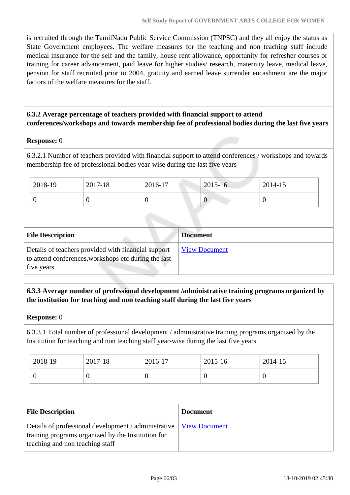is recruited through the TamilNadu Public Service Commission (TNPSC) and they all enjoy the status as State Government employees. The welfare measures for the teaching and non teaching staff include medical insurance for the self and the family, house rent allowance, opportunity for refresher courses or training for career advancement, paid leave for higher studies/ research, maternity leave, medical leave, pension for staff recruited prior to 2004, gratuity and earned leave surrender encashment are the major factors of the welfare measures for the staff.

## **6.3.2 Average percentage of teachers provided with financial support to attend conferences/workshops and towards membership fee of professional bodies during the last five years**

## **Response:** 0

6.3.2.1 Number of teachers provided with financial support to attend conferences / workshops and towards membership fee of professional bodies year-wise during the last five years

| 2018-19 | 2017-18 | 2016-17 | $2015 - 16$ | 2014-15 |
|---------|---------|---------|-------------|---------|
|         | - U     | ν       | v           |         |

| <b>File Description</b>                                                                                                   | <b>Document</b>      |
|---------------------------------------------------------------------------------------------------------------------------|----------------------|
| Details of teachers provided with financial support<br>to attend conferences, workshops etc during the last<br>five years | <b>View Document</b> |

## **6.3.3 Average number of professional development /administrative training programs organized by the institution for teaching and non teaching staff during the last five years**

#### **Response:** 0

6.3.3.1 Total number of professional development / administrative training programs organized by the Institution for teaching and non teaching staff year-wise during the last five years

| 2018-19 | 2017-18 | 2016-17 | 2015-16 | 2014-15 |
|---------|---------|---------|---------|---------|
|         | ν       |         |         |         |

| <b>File Description</b>                                                                                                                                              | <b>Document</b> |
|----------------------------------------------------------------------------------------------------------------------------------------------------------------------|-----------------|
| Details of professional development / administrative   <u>View Document</u><br>training programs organized by the Institution for<br>teaching and non teaching staff |                 |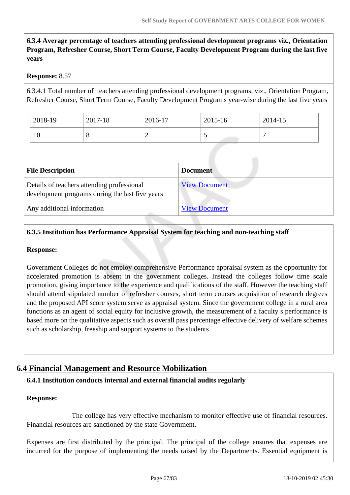**6.3.4 Average percentage of teachers attending professional development programs viz., Orientation Program, Refresher Course, Short Term Course, Faculty Development Program during the last five years**

#### **Response:** 8.57

6.3.4.1 Total number of teachers attending professional development programs, viz., Orientation Program, Refresher Course, Short Term Course, Faculty Development Programs year-wise during the last five years

| 2018-19 | 2017-18 | 2016-17 | 2015-16  | 2014-15 |
|---------|---------|---------|----------|---------|
| 1∪      | O       | ∽       | <b>~</b> |         |

| <b>File Description</b>                                                                       | <b>Document</b>      |
|-----------------------------------------------------------------------------------------------|----------------------|
| Details of teachers attending professional<br>development programs during the last five years | <b>View Document</b> |
| Any additional information                                                                    | <b>View Document</b> |

## **6.3.5 Institution has Performance Appraisal System for teaching and non-teaching staff**

#### **Response:**

Government Colleges do not employ comprehensive Performance appraisal system as the opportunity for accelerated promotion is absent in the government colleges. Instead the colleges follow time scale promotion, giving importance to the experience and qualifications of the staff. However the teaching staff should attend stipulated number of refresher courses, short term courses acquisition of research degrees and the proposed API score system serve as appraisal system. Since the government college in a rural area functions as an agent of social equity for inclusive growth, the measurement of a faculty s performance is based more on the qualitative aspects such as overall pass percentage effective delivery of welfare schemes such as scholarship, freeship and support systems to the students

## **6.4 Financial Management and Resource Mobilization**

#### **6.4.1 Institution conducts internal and external financial audits regularly**

#### **Response:**

 The college has very effective mechanism to monitor effective use of financial resources. Financial resources are sanctioned by the state Government.

Expenses are first distributed by the principal. The principal of the college ensures that expenses are incurred for the purpose of implementing the needs raised by the Departments. Essential equipment is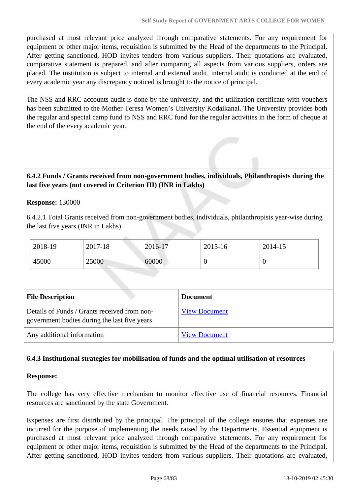purchased at most relevant price analyzed through comparative statements. For any requirement for equipment or other major items, requisition is submitted by the Head of the departments to the Principal. After getting sanctioned, HOD invites tenders from various suppliers. Their quotations are evaluated, comparative statement is prepared, and after comparing all aspects from various suppliers, orders are placed. The institution is subject to internal and external audit. internal audit is conducted at the end of every academic year any discrepancy noticed is brought to the notice of principal.

The NSS and RRC accounts audit is done by the university, and the utilization certificate with vouchers has been submitted to the Mother Teresa Women's University Kodaikanal. The University provides both the regular and special camp fund to NSS and RRC fund for the regular activities in the form of cheque at the end of the every academic year.

## **6.4.2 Funds / Grants received from non-government bodies, individuals, Philanthropists during the last five years (not covered in Criterion III) (INR in Lakhs)**

#### **Response:** 130000

6.4.2.1 Total Grants received from non-government bodies, individuals, philanthropists year-wise during the last five years (INR in Lakhs)

| 2018-19 | 2017-18 | 2016-17 | 2015-16 | 2014-15 |
|---------|---------|---------|---------|---------|
| 45000   | 25000   | 60000   | ◡       | ν       |

| <b>File Description</b>                                                                      | <b>Document</b>      |
|----------------------------------------------------------------------------------------------|----------------------|
| Details of Funds / Grants received from non-<br>government bodies during the last five years | <b>View Document</b> |
| Any additional information                                                                   | <b>View Document</b> |

#### **6.4.3 Institutional strategies for mobilisation of funds and the optimal utilisation of resources**

#### **Response:**

The college has very effective mechanism to monitor effective use of financial resources. Financial resources are sanctioned by the state Government.

Expenses are first distributed by the principal. The principal of the college ensures that expenses are incurred for the purpose of implementing the needs raised by the Departments. Essential equipment is purchased at most relevant price analyzed through comparative statements. For any requirement for equipment or other major items, requisition is submitted by the Head of the departments to the Principal. After getting sanctioned, HOD invites tenders from various suppliers. Their quotations are evaluated,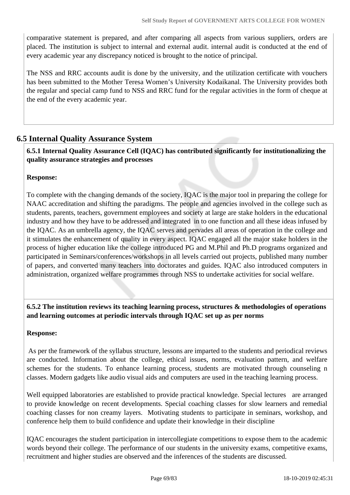comparative statement is prepared, and after comparing all aspects from various suppliers, orders are placed. The institution is subject to internal and external audit. internal audit is conducted at the end of every academic year any discrepancy noticed is brought to the notice of principal.

The NSS and RRC accounts audit is done by the university, and the utilization certificate with vouchers has been submitted to the Mother Teresa Women's University Kodaikanal. The University provides both the regular and special camp fund to NSS and RRC fund for the regular activities in the form of cheque at the end of the every academic year.

## **6.5 Internal Quality Assurance System**

 **6.5.1 Internal Quality Assurance Cell (IQAC) has contributed significantly for institutionalizing the quality assurance strategies and processes**

## **Response:**

To complete with the changing demands of the society, IQAC is the major tool in preparing the college for NAAC accreditation and shifting the paradigms. The people and agencies involved in the college such as students, parents, teachers, government employees and society at large are stake holders in the educational industry and how they have to be addressed and integrated in to one function and all these ideas infused by the IQAC. As an umbrella agency, the IQAC serves and pervades all areas of operation in the college and it stimulates the enhancement of quality in every aspect. IQAC engaged all the major stake holders in the process of higher education like the college introduced PG and M.Phil and Ph.D programs organized and participated in Seminars/conferences/workshops in all levels carried out projects, published many number of papers, and converted many teachers into doctorates and guides. IQAC also introduced computers in administration, organized welfare programmes through NSS to undertake activities for social welfare.

## **6.5.2 The institution reviews its teaching learning process, structures & methodologies of operations and learning outcomes at periodic intervals through IQAC set up as per norms**

## **Response:**

 As per the framework of the syllabus structure, lessons are imparted to the students and periodical reviews are conducted. Information about the college, ethical issues, norms, evaluation pattern, and welfare schemes for the students. To enhance learning process, students are motivated through counseling n classes. Modern gadgets like audio visual aids and computers are used in the teaching learning process.

Well equipped laboratories are established to provide practical knowledge. Special lectures are arranged to provide knowledge on recent developments. Special coaching classes for slow learners and remedial coaching classes for non creamy layers. Motivating students to participate in seminars, workshop, and conference help them to build confidence and update their knowledge in their discipline

IQAC encourages the student participation in intercollegiate competitions to expose them to the academic words beyond their college. The performance of our students in the university exams, competitive exams, recruitment and higher studies are observed and the inferences of the students are discussed.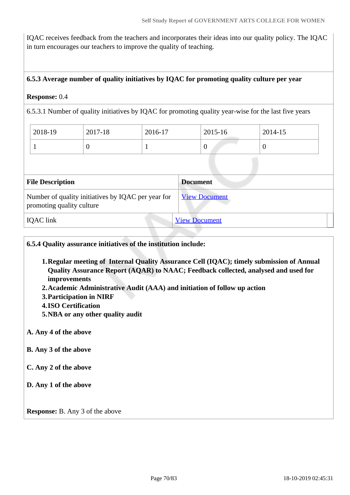IQAC receives feedback from the teachers and incorporates their ideas into our quality policy. The IQAC in turn encourages our teachers to improve the quality of teaching.

#### **6.5.3 Average number of quality initiatives by IQAC for promoting quality culture per year**

#### **Response:** 0.4

6.5.3.1 Number of quality initiatives by IQAC for promoting quality year-wise for the last five years

| 2018-19 | 2017-18 | 2016-17  | 2015-16 | 2014-15 |
|---------|---------|----------|---------|---------|
|         |         | <b>.</b> | ν       |         |

| <b>File Description</b>                                                         | <b>Document</b>      |
|---------------------------------------------------------------------------------|----------------------|
| Number of quality initiatives by IQAC per year for<br>promoting quality culture | <b>View Document</b> |
| <b>IQAC</b> link                                                                | <b>View Document</b> |

**6.5.4 Quality assurance initiatives of the institution include:**

- **1.Regular meeting of Internal Quality Assurance Cell (IQAC); timely submission of Annual Quality Assurance Report (AQAR) to NAAC; Feedback collected, analysed and used for improvements**
- **2.Academic Administrative Audit (AAA) and initiation of follow up action**
- **3.Participation in NIRF**
- **4.ISO Certification**
- **5.NBA or any other quality audit**

#### **A. Any 4 of the above**

- **B. Any 3 of the above**
- **C. Any 2 of the above**
- **D. Any 1 of the above**

**Response:** B. Any 3 of the above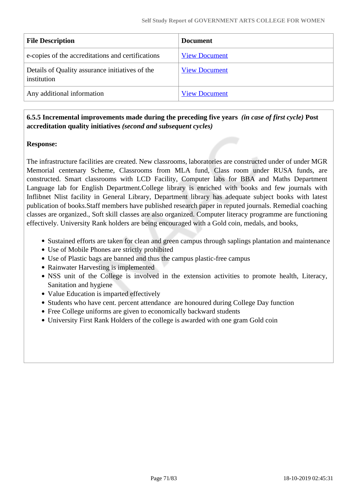| <b>File Description</b>                                        | <b>Document</b>      |
|----------------------------------------------------------------|----------------------|
| e-copies of the accreditations and certifications              | <b>View Document</b> |
| Details of Quality assurance initiatives of the<br>institution | <b>View Document</b> |
| Any additional information                                     | <b>View Document</b> |

## **6.5.5 Incremental improvements made during the preceding five years** *(in case of first cycle)* **Post accreditation quality initiatives** *(second and subsequent cycles)*

## **Response:**

The infrastructure facilities are created. New classrooms, laboratories are constructed under of under MGR Memorial centenary Scheme, Classrooms from MLA fund, Class room under RUSA funds, are constructed. Smart classrooms with LCD Facility, Computer labs for BBA and Maths Department Language lab for English Department.College library is enriched with books and few journals with Inflibnet Nlist facility in General Library, Department library has adequate subject books with latest publication of books.Staff members have published research paper in reputed journals. Remedial coaching classes are organized., Soft skill classes are also organized. Computer literacy programme are functioning effectively. University Rank holders are being encouraged with a Gold coin, medals, and books,

- Sustained efforts are taken for clean and green campus through saplings plantation and maintenance
- Use of Mobile Phones are strictly prohibited
- Use of Plastic bags are banned and thus the campus plastic-free campus
- Rainwater Harvesting is implemented
- NSS unit of the College is involved in the extension activities to promote health, Literacy, Sanitation and hygiene
- Value Education is imparted effectively
- Students who have cent. percent attendance are honoured during College Day function
- Free College uniforms are given to economically backward students
- University First Rank Holders of the college is awarded with one gram Gold coin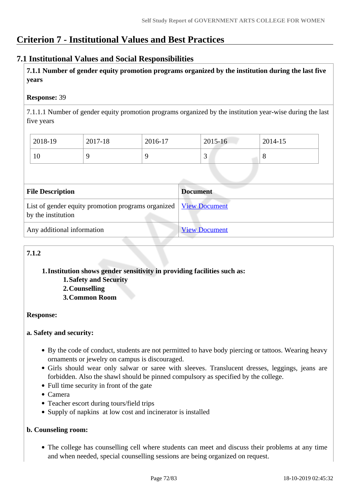# **Criterion 7 - Institutional Values and Best Practices**

## **7.1 Institutional Values and Social Responsibilities**

 **7.1.1 Number of gender equity promotion programs organized by the institution during the last five years** 

## **Response:** 39

7.1.1.1 Number of gender equity promotion programs organized by the institution year-wise during the last five years

| 2018-19 | 2017-18 | 2016-17 | 2015-16 | 2014-15 |
|---------|---------|---------|---------|---------|
| 10      |         |         | ັ       | $\circ$ |

| <b>File Description</b>                                                                  | <b>Document</b>      |
|------------------------------------------------------------------------------------------|----------------------|
| List of gender equity promotion programs organized   View Document<br>by the institution |                      |
| Any additional information                                                               | <b>View Document</b> |

## **7.1.2**

## **1.Institution shows gender sensitivity in providing facilities such as:**

**1.Safety and Security 2.Counselling**

**3.Common Room**

## **Response:**

## **a. Safety and security:**

- By the code of conduct, students are not permitted to have body piercing or tattoos. Wearing heavy ornaments or jewelry on campus is discouraged.
- Girls should wear only salwar or saree with sleeves. Translucent dresses, leggings, jeans are forbidden. Also the shawl should be pinned compulsory as specified by the college.
- Full time security in front of the gate
- Camera
- Teacher escort during tours/field trips
- Supply of napkins at low cost and incinerator is installed

#### **b. Counseling room:**

The college has counselling cell where students can meet and discuss their problems at any time and when needed, special counselling sessions are being organized on request.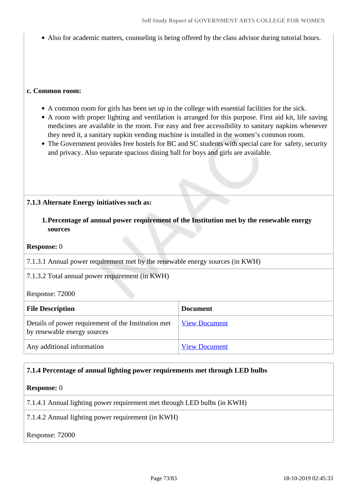Also for academic matters, counseling is being offered by the class advisor during tutorial hours.

#### **c. Common room:**

- A common room for girls has been set up in the college with essential facilities for the sick.
- A room with proper lighting and ventilation is arranged for this purpose. First aid kit, life saving medicines are available in the room. For easy and free accessibility to sanitary napkins whenever they need it, a sanitary napkin vending machine is installed in the women's common room.
- The Government provides free hostels for BC and SC students with special care for safety, security and privacy. Also separate spacious dining hall for boys and girls are available.

#### **7.1.3 Alternate Energy initiatives such as:**

**1.Percentage of annual power requirement of the Institution met by the renewable energy sources**

#### **Response:** 0

7.1.3.1 Annual power requirement met by the renewable energy sources (in KWH)

7.1.3.2 Total annual power requirement (in KWH)

Response: 72000

| <b>File Description</b>                                                            | <b>Document</b>      |
|------------------------------------------------------------------------------------|----------------------|
| Details of power requirement of the Institution met<br>by renewable energy sources | <b>View Document</b> |
| Any additional information                                                         | <b>View Document</b> |

#### **7.1.4 Percentage of annual lighting power requirements met through LED bulbs**

#### **Response:** 0

7.1.4.1 Annual lighting power requirement met through LED bulbs (in KWH)

7.1.4.2 Annual lighting power requirement (in KWH)

#### Response: 72000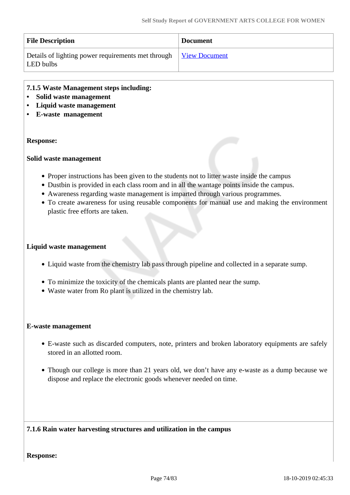| <b>File Description</b>                                                       | <b>Document</b> |
|-------------------------------------------------------------------------------|-----------------|
| Details of lighting power requirements met through View Document<br>LED bulbs |                 |

#### **7.1.5 Waste Management steps including:**

- **Solid waste management**
- **Liquid waste management**
- **E-waste management**

#### **Response:**

#### **Solid waste management**

- Proper instructions has been given to the students not to litter waste inside the campus
- Dustbin is provided in each class room and in all the wantage points inside the campus.
- Awareness regarding waste management is imparted through various programmes.
- To create awareness for using reusable components for manual use and making the environment plastic free efforts are taken.

#### **Liquid waste management**

- Liquid waste from the chemistry lab pass through pipeline and collected in a separate sump.
- To minimize the toxicity of the chemicals plants are planted near the sump.
- Waste water from Ro plant is utilized in the chemistry lab.

#### **E-waste management**

- E-waste such as discarded computers, note, printers and broken laboratory equipments are safely stored in an allotted room.
- Though our college is more than 21 years old, we don't have any e-waste as a dump because we dispose and replace the electronic goods whenever needed on time.

#### **7.1.6 Rain water harvesting structures and utilization in the campus**

**Response:**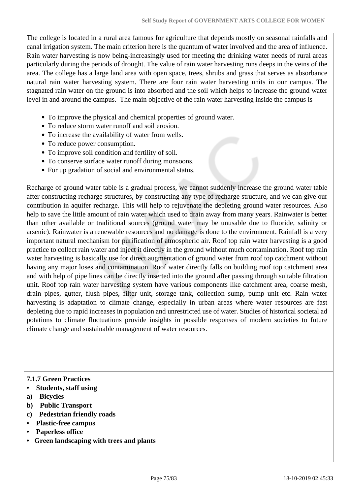The college is located in a rural area famous for agriculture that depends mostly on seasonal rainfalls and canal irrigation system. The main criterion here is the quantum of water involved and the area of influence. Rain water harvesting is now being-increasingly used for meeting the drinking water needs of rural areas particularly during the periods of drought. The value of rain water harvesting runs deeps in the veins of the area. The college has a large land area with open space, trees, shrubs and grass that serves as absorbance natural rain water harvesting system. There are four rain water harvesting units in our campus. The stagnated rain water on the ground is into absorbed and the soil which helps to increase the ground water level in and around the campus. The main objective of the rain water harvesting inside the campus is

- To improve the physical and chemical properties of ground water.
- To reduce storm water runoff and soil erosion.
- To increase the availability of water from wells.
- To reduce power consumption.
- To improve soil condition and fertility of soil.
- To conserve surface water runoff during monsoons.
- For up gradation of social and environmental status.

Recharge of ground water table is a gradual process, we cannot suddenly increase the ground water table after constructing recharge structures, by constructing any type of recharge structure, and we can give our contribution in aquifer recharge. This will help to rejuvenate the depleting ground water resources. Also help to save the little amount of rain water which used to drain away from many years. Rainwater is better than other available or traditional sources (ground water may be unusable due to fluoride, salinity or arsenic). Rainwater is a renewable resources and no damage is done to the environment. Rainfall is a very important natural mechanism for purification of atmospheric air. Roof top rain water harvesting is a good practice to collect rain water and inject it directly in the ground without much contamination. Roof top rain water harvesting is basically use for direct augmentation of ground water from roof top catchment without having any major loses and contamination. Roof water directly falls on building roof top catchment area and with help of pipe lines can be directly inserted into the ground after passing through suitable filtration unit. Roof top rain water harvesting system have various components like catchment area, coarse mesh, drain pipes, gutter, flush pipes, filter unit, storage tank, collection sump, pump unit etc. Rain water harvesting is adaptation to climate change, especially in urban areas where water resources are fast depleting due to rapid increases in population and unrestricted use of water. Studies of historical societal ad potations to climate fluctuations provide insights in possible responses of modern societies to future climate change and sustainable management of water resources.

#### **7.1.7 Green Practices**

- **Students, staff using**
- **a) Bicycles**
- **b) Public Transport**
- **c) Pedestrian friendly roads**
- **Plastic-free campus**
- **Paperless office**
- **Green landscaping with trees and plants**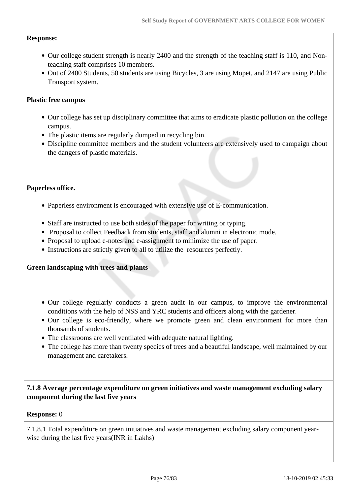#### **Response:**

- Our college student strength is nearly 2400 and the strength of the teaching staff is 110, and Nonteaching staff comprises 10 members.
- Out of 2400 Students, 50 students are using Bicycles, 3 are using Mopet, and 2147 are using Public Transport system.

#### **Plastic free campus**

- Our college has set up disciplinary committee that aims to eradicate plastic pollution on the college campus.
- The plastic items are regularly dumped in recycling bin.
- Discipline committee members and the student volunteers are extensively used to campaign about the dangers of plastic materials.

#### **Paperless office.**

- Paperless environment is encouraged with extensive use of E-communication.
- Staff are instructed to use both sides of the paper for writing or typing.
- Proposal to collect Feedback from students, staff and alumni in electronic mode.
- Proposal to upload e-notes and e-assignment to minimize the use of paper.
- Instructions are strictly given to all to utilize the resources perfectly.

#### **Green landscaping with trees and plants**

- Our college regularly conducts a green audit in our campus, to improve the environmental conditions with the help of NSS and YRC students and officers along with the gardener.
- Our college is eco-friendly, where we promote green and clean environment for more than thousands of students.
- The classrooms are well ventilated with adequate natural lighting.
- The college has more than twenty species of trees and a beautiful landscape, well maintained by our management and caretakers.

#### **7.1.8 Average percentage expenditure on green initiatives and waste management excluding salary component during the last five years**

#### **Response:** 0

7.1.8.1 Total expenditure on green initiatives and waste management excluding salary component yearwise during the last five years(INR in Lakhs)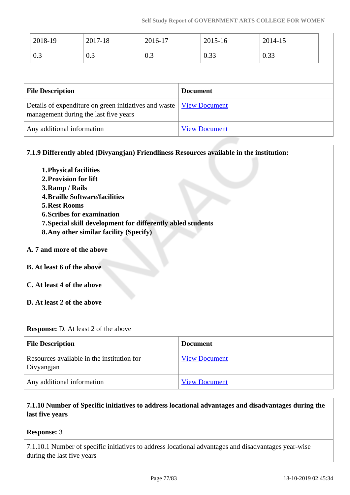| 2018-19                                                                                        | 2017-18 | 2016-17 |                      | 2015-16 | 2014-15 |
|------------------------------------------------------------------------------------------------|---------|---------|----------------------|---------|---------|
| 0.3                                                                                            | 0.3     | 0.3     |                      | 0.33    | 0.33    |
| <b>File Description</b>                                                                        |         |         | <b>Document</b>      |         |         |
| Details of expenditure on green initiatives and waste<br>management during the last five years |         |         | <b>View Document</b> |         |         |
| Any additional information                                                                     |         |         | <b>View Document</b> |         |         |

**7.1.9 Differently abled (Divyangjan) Friendliness Resources available in the institution:**

**1.Physical facilities 2.Provision for lift 3.Ramp / Rails 4.Braille Software/facilities 5.Rest Rooms 6.Scribes for examination 7.Special skill development for differently abled students 8.Any other similar facility (Specify) A. 7 and more of the above B. At least 6 of the above C. At least 4 of the above D. At least 2 of the above**

**Response:** D. At least 2 of the above

| <b>File Description</b>                                  | <b>Document</b>      |
|----------------------------------------------------------|----------------------|
| Resources available in the institution for<br>Divyangjan | <b>View Document</b> |
| Any additional information                               | <b>View Document</b> |

## **7.1.10 Number of Specific initiatives to address locational advantages and disadvantages during the last five years**

#### **Response:** 3

7.1.10.1 Number of specific initiatives to address locational advantages and disadvantages year-wise during the last five years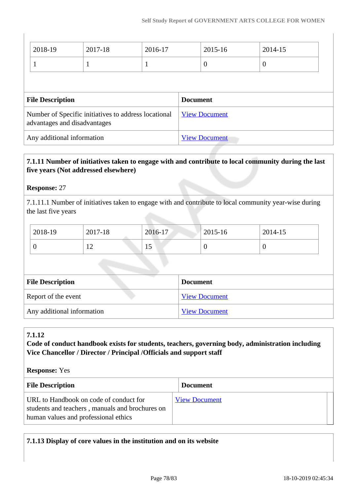| 2018-19                    | 2017-18                                                                              | 2016-17              | 2015-16              | 2014-15          |
|----------------------------|--------------------------------------------------------------------------------------|----------------------|----------------------|------------------|
|                            |                                                                                      | -1                   | $\overline{0}$       | $\boldsymbol{0}$ |
|                            |                                                                                      |                      |                      |                  |
| <b>File Description</b>    |                                                                                      |                      | <b>Document</b>      |                  |
|                            | Number of Specific initiatives to address locational<br>advantages and disadvantages |                      | <b>View Document</b> |                  |
| Any additional information |                                                                                      | <b>View Document</b> |                      |                  |

## **7.1.11 Number of initiatives taken to engage with and contribute to local community during the last five years (Not addressed elsewhere)**

#### **Response:** 27

7.1.11.1 Number of initiatives taken to engage with and contribute to local community year-wise during the last five years

| 2018-19 | 2017-18 | 2016-17 | 2015-16 | 2014-15 |
|---------|---------|---------|---------|---------|
|         | ∸∸      |         | ν       | ◡       |

| <b>File Description</b>    | <b>Document</b>      |
|----------------------------|----------------------|
| Report of the event        | <b>View Document</b> |
| Any additional information | <b>View Document</b> |

#### **7.1.12**

**Code of conduct handbook exists for students, teachers, governing body, administration including Vice Chancellor / Director / Principal /Officials and support staff**

#### **Response:** Yes

| <b>File Description</b>                                                                                                           | <b>Document</b>      |
|-----------------------------------------------------------------------------------------------------------------------------------|----------------------|
| URL to Handbook on code of conduct for<br>students and teachers, manuals and brochures on<br>human values and professional ethics | <b>View Document</b> |

#### **7.1.13 Display of core values in the institution and on its website**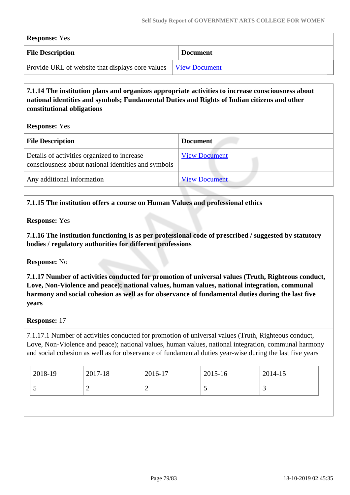| <b>Response:</b> Yes                                                  |                 |  |
|-----------------------------------------------------------------------|-----------------|--|
| <b>File Description</b>                                               | <b>Document</b> |  |
| Provide URL of website that displays core values <u>View Document</u> |                 |  |

## **7.1.14 The institution plans and organizes appropriate activities to increase consciousness about national identities and symbols; Fundamental Duties and Rights of Indian citizens and other constitutional obligations**

**Response:** Yes

| <b>File Description</b>                                                                            | <b>Document</b>      |
|----------------------------------------------------------------------------------------------------|----------------------|
| Details of activities organized to increase<br>consciousness about national identities and symbols | <b>View Document</b> |
| Any additional information                                                                         | <b>View Document</b> |

## **7.1.15 The institution offers a course on Human Values and professional ethics**

**Response:** Yes

 **7.1.16 The institution functioning is as per professional code of prescribed / suggested by statutory bodies / regulatory authorities for different professions**

**Response:** No

 **7.1.17 Number of activities conducted for promotion of universal values (Truth, Righteous conduct, Love, Non-Violence and peace); national values, human values, national integration, communal harmony and social cohesion as well as for observance of fundamental duties during the last five years**

**Response:** 17

7.1.17.1 Number of activities conducted for promotion of universal values (Truth, Righteous conduct, Love, Non-Violence and peace); national values, human values, national integration, communal harmony and social cohesion as well as for observance of fundamental duties year-wise during the last five years

| 2018-19 | 2017-18 | 2016-17 | 2015-16 | 2014-15 |
|---------|---------|---------|---------|---------|
| ັ       |         | -       |         |         |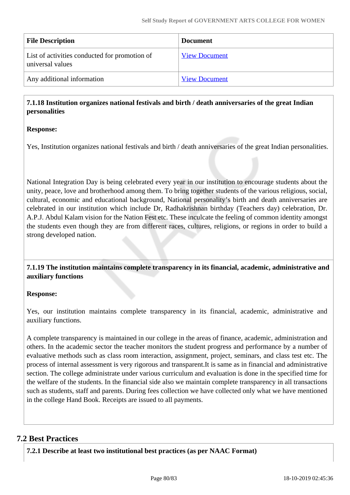| <b>File Description</b>                                           | <b>Document</b>      |
|-------------------------------------------------------------------|----------------------|
| List of activities conducted for promotion of<br>universal values | <b>View Document</b> |
| Any additional information                                        | <b>View Document</b> |

#### **7.1.18 Institution organizes national festivals and birth / death anniversaries of the great Indian personalities**

#### **Response:**

Yes, Institution organizes national festivals and birth / death anniversaries of the great Indian personalities.

National Integration Day is being celebrated every year in our institution to encourage students about the unity, peace, love and brotherhood among them. To bring together students of the various religious, social, cultural, economic and educational background, National personality's birth and death anniversaries are celebrated in our institution which include Dr, Radhakrishnan birthday (Teachers day) celebration, Dr. A.P.J. Abdul Kalam vision for the Nation Fest etc. These inculcate the feeling of common identity amongst the students even though they are from different races, cultures, religions, or regions in order to build a strong developed nation.

 **7.1.19 The institution maintains complete transparency in its financial, academic, administrative and auxiliary functions**

#### **Response:**

Yes, our institution maintains complete transparency in its financial, academic, administrative and auxiliary functions.

A complete transparency is maintained in our college in the areas of finance, academic, administration and others. In the academic sector the teacher monitors the student progress and performance by a number of evaluative methods such as class room interaction, assignment, project, seminars, and class test etc. The process of internal assessment is very rigorous and transparent.It is same as in financial and administrative section. The college administrate under various curriculum and evaluation is done in the specified time for the welfare of the students. In the financial side also we maintain complete transparency in all transactions such as students, staff and parents. During fees collection we have collected only what we have mentioned in the college Hand Book. Receipts are issued to all payments.

## **7.2 Best Practices**

**7.2.1 Describe at least two institutional best practices (as per NAAC Format)**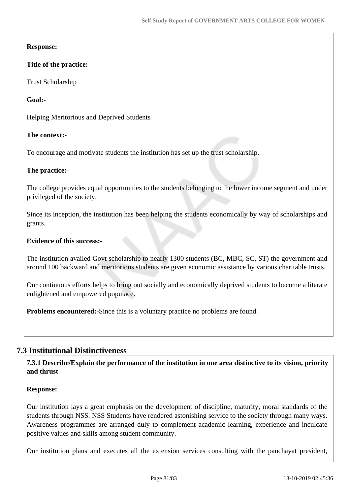## **Response:**

## **Title of the practice:-**

Trust Scholarship

## **Goal:-**

Helping Meritorious and Deprived Students

## **The context:-**

To encourage and motivate students the institution has set up the trust scholarship.

## **The practice:-**

The college provides equal opportunities to the students belonging to the lower income segment and under privileged of the society.

Since its inception, the institution has been helping the students economically by way of scholarships and grants.

## **Evidence of this success:-**

The institution availed Govt scholarship to nearly 1300 students (BC, MBC, SC, ST) the government and around 100 backward and meritorious students are given economic assistance by various charitable trusts.

Our continuous efforts helps to bring out socially and economically deprived students to become a literate enlightened and empowered populace.

**Problems encountered:-**Since this is a voluntary practice no problems are found.

## **7.3 Institutional Distinctiveness**

 **7.3.1 Describe/Explain the performance of the institution in one area distinctive to its vision, priority and thrust**

## **Response:**

Our institution lays a great emphasis on the development of discipline, maturity, moral standards of the students through NSS. NSS Students have rendered astonishing service to the society through many ways. Awareness programmes are arranged duly to complement academic learning, experience and inculcate positive values and skills among student community.

Our institution plans and executes all the extension services consulting with the panchayat president,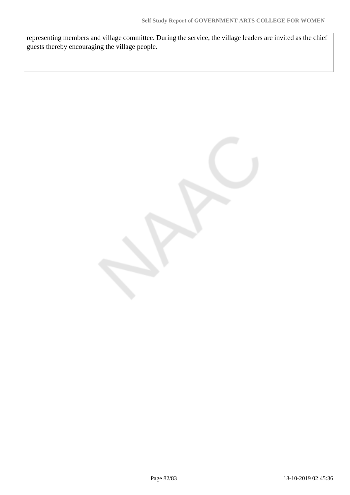representing members and village committee. During the service, the village leaders are invited as the chief guests thereby encouraging the village people.